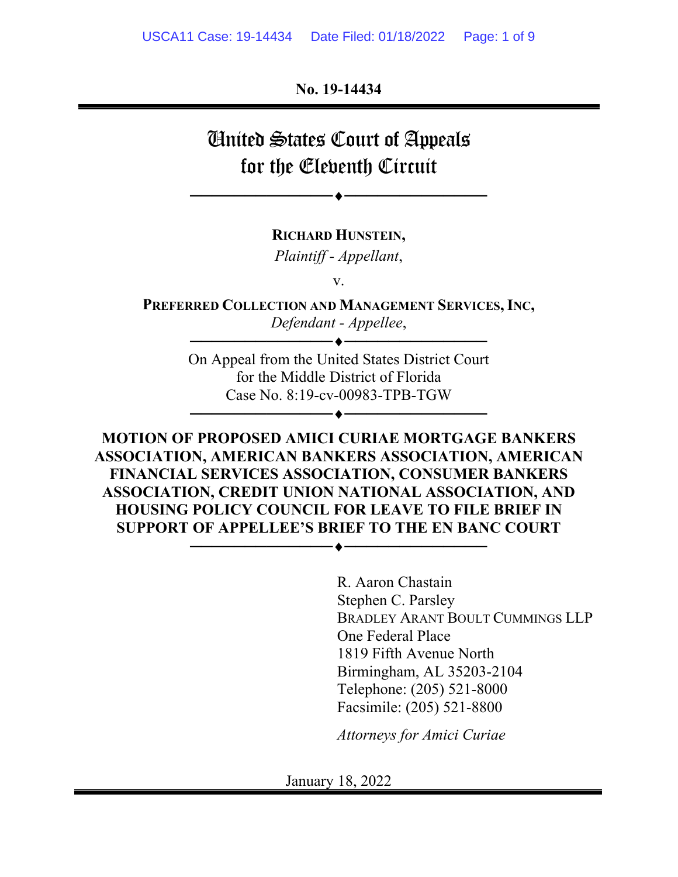**No. 19-14434** 

# United States Court of Appeals for the Eleventh Circuit

──────────────────────────

**RICHARD HUNSTEIN,** 

*Plaintiff - Appellant*,

v.

**PREFERRED COLLECTION AND MANAGEMENT SERVICES, INC,** *Defendant - Appellee*,

──────────────────────────

On Appeal from the United States District Court for the Middle District of Florida Case No. 8:19-cv-00983-TPB-TGW

──────────────────────────

**MOTION OF PROPOSED AMICI CURIAE MORTGAGE BANKERS ASSOCIATION, AMERICAN BANKERS ASSOCIATION, AMERICAN FINANCIAL SERVICES ASSOCIATION, CONSUMER BANKERS ASSOCIATION, CREDIT UNION NATIONAL ASSOCIATION, AND HOUSING POLICY COUNCIL FOR LEAVE TO FILE BRIEF IN SUPPORT OF APPELLEE'S BRIEF TO THE EN BANC COURT** 

──────────────────────────

R. Aaron Chastain Stephen C. Parsley BRADLEY ARANT BOULT CUMMINGS LLP One Federal Place 1819 Fifth Avenue North Birmingham, AL 35203-2104 Telephone: (205) 521-8000 Facsimile: (205) 521-8800

*Attorneys for Amici Curiae*

January 18, 2022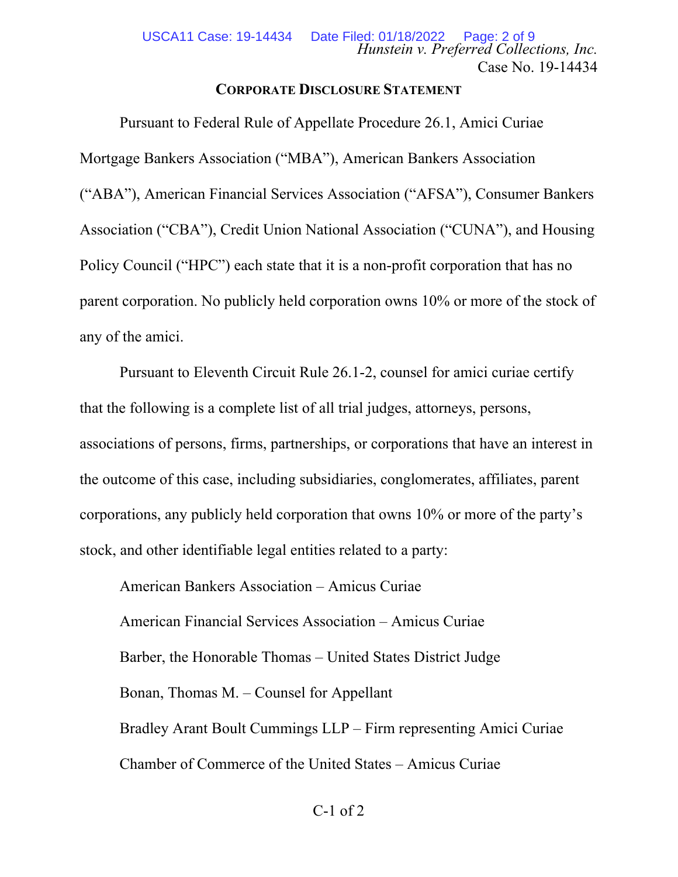### **CORPORATE DISCLOSURE STATEMENT**

Pursuant to Federal Rule of Appellate Procedure 26.1, Amici Curiae Mortgage Bankers Association ("MBA"), American Bankers Association ("ABA"), American Financial Services Association ("AFSA"), Consumer Bankers Association ("CBA"), Credit Union National Association ("CUNA"), and Housing Policy Council ("HPC") each state that it is a non-profit corporation that has no parent corporation. No publicly held corporation owns 10% or more of the stock of any of the amici.

Pursuant to Eleventh Circuit Rule 26.1-2, counsel for amici curiae certify that the following is a complete list of all trial judges, attorneys, persons, associations of persons, firms, partnerships, or corporations that have an interest in the outcome of this case, including subsidiaries, conglomerates, affiliates, parent corporations, any publicly held corporation that owns 10% or more of the party's stock, and other identifiable legal entities related to a party:

American Bankers Association – Amicus Curiae American Financial Services Association – Amicus Curiae Barber, the Honorable Thomas – United States District Judge Bonan, Thomas M. – Counsel for Appellant Bradley Arant Boult Cummings LLP – Firm representing Amici Curiae Chamber of Commerce of the United States – Amicus Curiae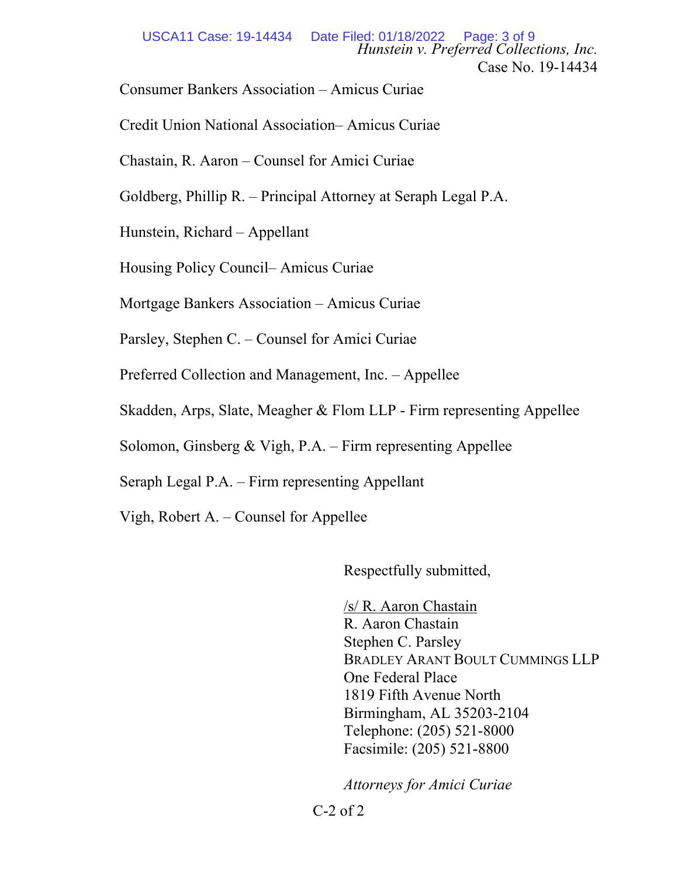Consumer Bankers Association – Amicus Curiae

Credit Union National Association– Amicus Curiae

Chastain, R. Aaron – Counsel for Amici Curiae

Goldberg, Phillip R. – Principal Attorney at Seraph Legal P.A.

Hunstein, Richard – Appellant

Housing Policy Council– Amicus Curiae

Mortgage Bankers Association – Amicus Curiae

Parsley, Stephen C. – Counsel for Amici Curiae

Preferred Collection and Management, Inc. – Appellee

Skadden, Arps, Slate, Meagher & Flom LLP - Firm representing Appellee

Solomon, Ginsberg & Vigh, P.A. – Firm representing Appellee

Seraph Legal P.A. – Firm representing Appellant

Vigh, Robert A. – Counsel for Appellee

Respectfully submitted,

/s/ R. Aaron Chastain R. Aaron Chastain Stephen C. Parsley BRADLEY ARANT BOULT CUMMINGS LLP One Federal Place 1819 Fifth Avenue North Birmingham, AL 35203-2104 Telephone: (205) 521-8000 Facsimile: (205) 521-8800

*Attorneys for Amici Curiae* 

 $C-2$  of  $2$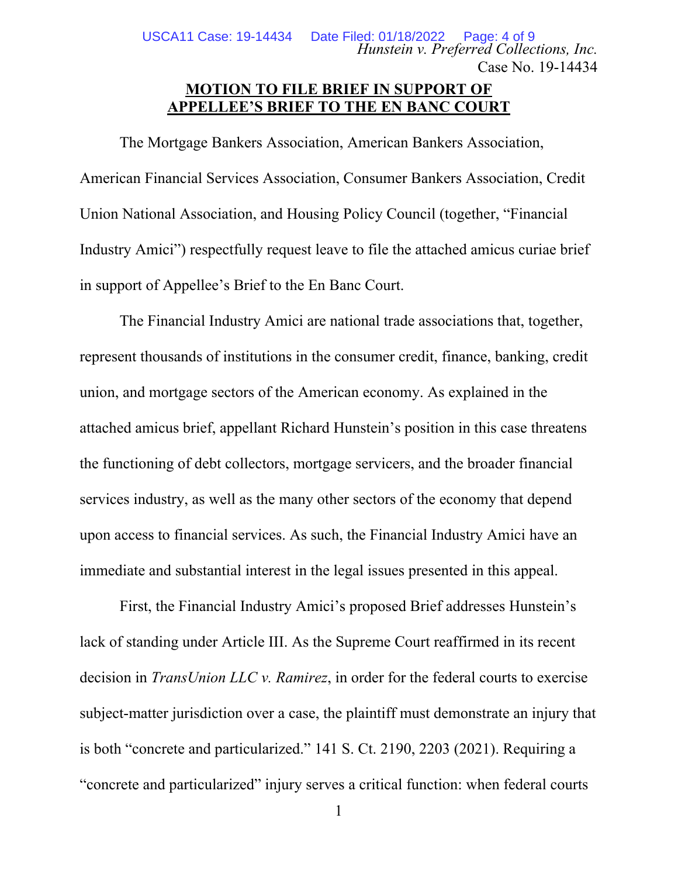*Hunstein v. Preferred Collections, Inc.* Case No. 19-14434 USCA11 Case: 19-14434 Date Filed: 01/18/2022 Page: 4 of 9

## **MOTION TO FILE BRIEF IN SUPPORT OF APPELLEE'S BRIEF TO THE EN BANC COURT**

The Mortgage Bankers Association, American Bankers Association, American Financial Services Association, Consumer Bankers Association, Credit Union National Association, and Housing Policy Council (together, "Financial Industry Amici") respectfully request leave to file the attached amicus curiae brief in support of Appellee's Brief to the En Banc Court.

The Financial Industry Amici are national trade associations that, together, represent thousands of institutions in the consumer credit, finance, banking, credit union, and mortgage sectors of the American economy. As explained in the attached amicus brief, appellant Richard Hunstein's position in this case threatens the functioning of debt collectors, mortgage servicers, and the broader financial services industry, as well as the many other sectors of the economy that depend upon access to financial services. As such, the Financial Industry Amici have an immediate and substantial interest in the legal issues presented in this appeal.

First, the Financial Industry Amici's proposed Brief addresses Hunstein's lack of standing under Article III. As the Supreme Court reaffirmed in its recent decision in *TransUnion LLC v. Ramirez*, in order for the federal courts to exercise subject-matter jurisdiction over a case, the plaintiff must demonstrate an injury that is both "concrete and particularized." 141 S. Ct. 2190, 2203 (2021). Requiring a "concrete and particularized" injury serves a critical function: when federal courts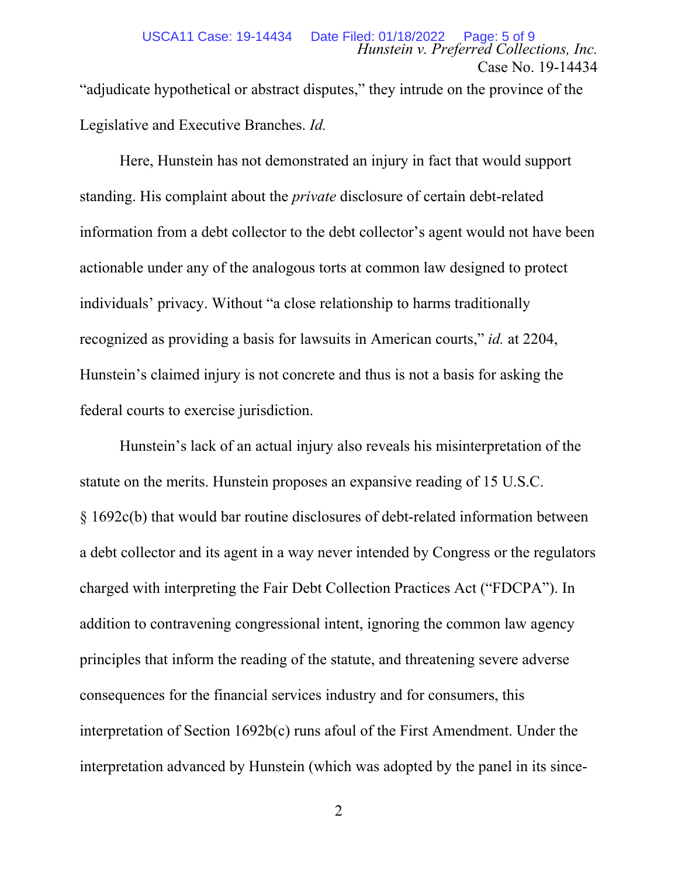"adjudicate hypothetical or abstract disputes," they intrude on the province of the Legislative and Executive Branches. *Id.*

Here, Hunstein has not demonstrated an injury in fact that would support standing. His complaint about the *private* disclosure of certain debt-related information from a debt collector to the debt collector's agent would not have been actionable under any of the analogous torts at common law designed to protect individuals' privacy. Without "a close relationship to harms traditionally recognized as providing a basis for lawsuits in American courts," *id.* at 2204, Hunstein's claimed injury is not concrete and thus is not a basis for asking the federal courts to exercise jurisdiction.

Hunstein's lack of an actual injury also reveals his misinterpretation of the statute on the merits. Hunstein proposes an expansive reading of 15 U.S.C. § 1692c(b) that would bar routine disclosures of debt-related information between a debt collector and its agent in a way never intended by Congress or the regulators charged with interpreting the Fair Debt Collection Practices Act ("FDCPA"). In addition to contravening congressional intent, ignoring the common law agency principles that inform the reading of the statute, and threatening severe adverse consequences for the financial services industry and for consumers, this interpretation of Section 1692b(c) runs afoul of the First Amendment. Under the interpretation advanced by Hunstein (which was adopted by the panel in its since-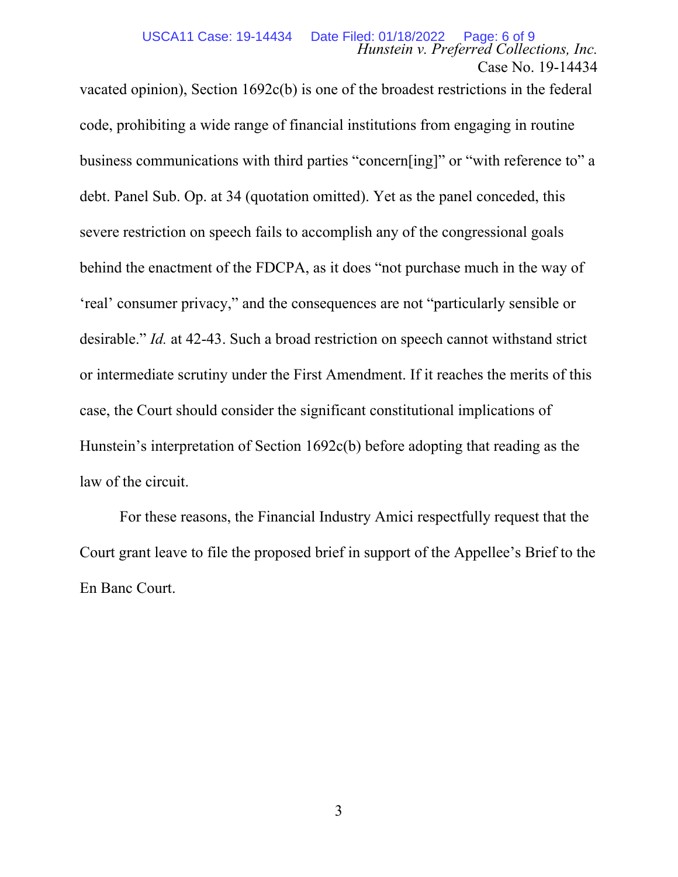vacated opinion), Section 1692c(b) is one of the broadest restrictions in the federal code, prohibiting a wide range of financial institutions from engaging in routine business communications with third parties "concern[ing]" or "with reference to" a debt. Panel Sub. Op. at 34 (quotation omitted). Yet as the panel conceded, this severe restriction on speech fails to accomplish any of the congressional goals behind the enactment of the FDCPA, as it does "not purchase much in the way of 'real' consumer privacy," and the consequences are not "particularly sensible or desirable." *Id.* at 42-43. Such a broad restriction on speech cannot withstand strict or intermediate scrutiny under the First Amendment. If it reaches the merits of this case, the Court should consider the significant constitutional implications of Hunstein's interpretation of Section 1692c(b) before adopting that reading as the law of the circuit.

For these reasons, the Financial Industry Amici respectfully request that the Court grant leave to file the proposed brief in support of the Appellee's Brief to the En Banc Court.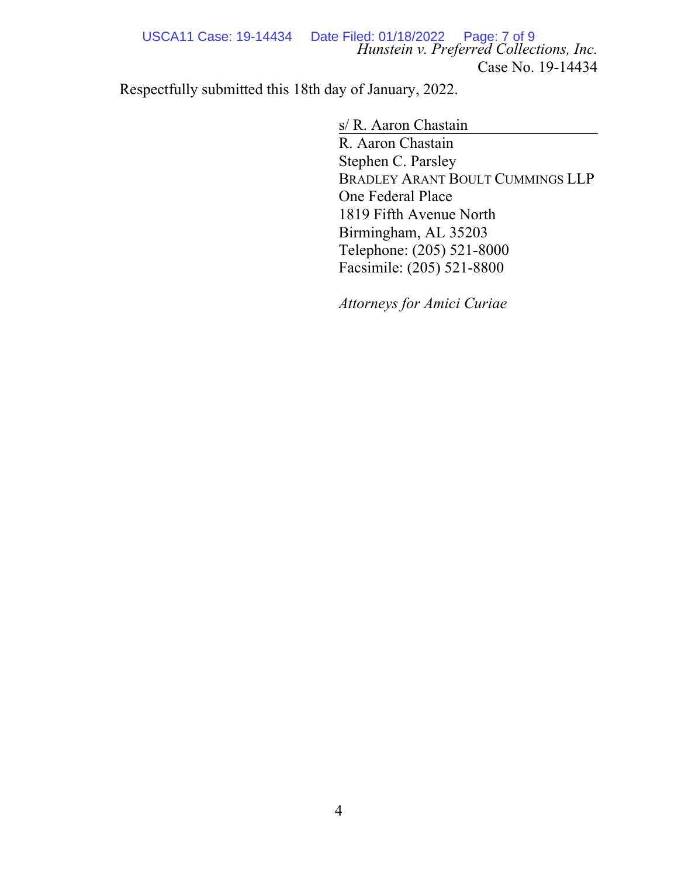*Hunstein v. Preferred Collections, Inc.* Case No. 19-14434 USCA11 Case: 19-14434 Date Filed: 01/18/2022 Page: 7 of 9

Respectfully submitted this 18th day of January, 2022.

s/ R. Aaron Chastain

R. Aaron Chastain Stephen C. Parsley BRADLEY ARANT BOULT CUMMINGS LLP One Federal Place 1819 Fifth Avenue North Birmingham, AL 35203 Telephone: (205) 521-8000 Facsimile: (205) 521-8800

*Attorneys for Amici Curiae*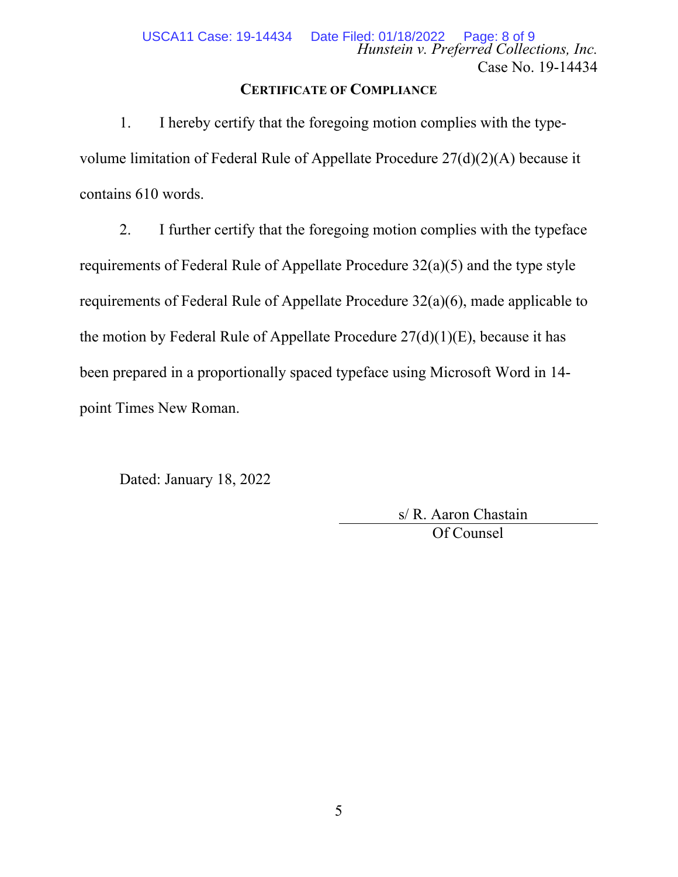### **CERTIFICATE OF COMPLIANCE**

1. I hereby certify that the foregoing motion complies with the typevolume limitation of Federal Rule of Appellate Procedure 27(d)(2)(A) because it contains 610 words.

2. I further certify that the foregoing motion complies with the typeface requirements of Federal Rule of Appellate Procedure 32(a)(5) and the type style requirements of Federal Rule of Appellate Procedure 32(a)(6), made applicable to the motion by Federal Rule of Appellate Procedure  $27(d)(1)(E)$ , because it has been prepared in a proportionally spaced typeface using Microsoft Word in 14 point Times New Roman.

Dated: January 18, 2022

 s/ R. Aaron Chastain Of Counsel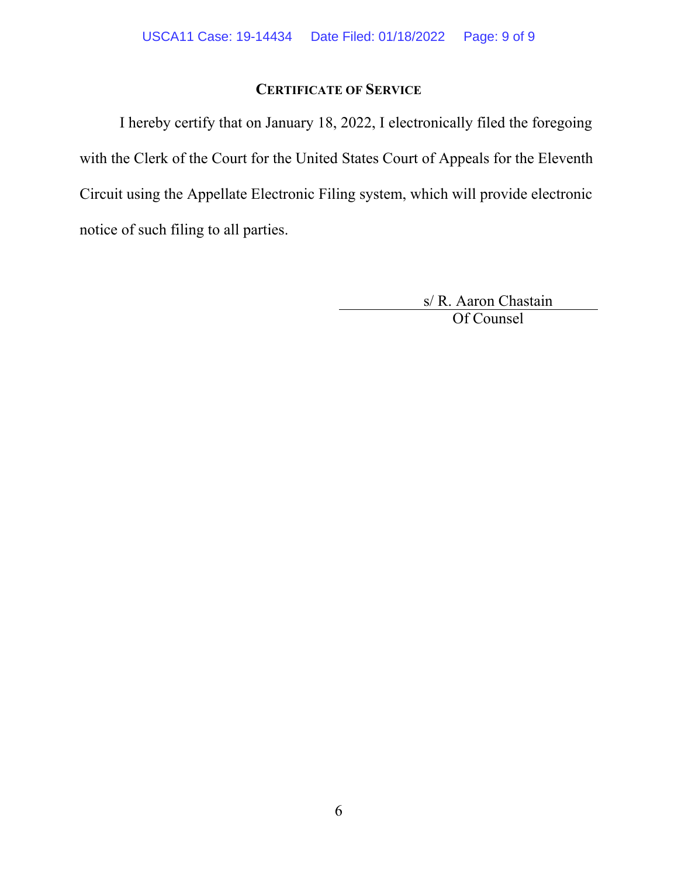## **CERTIFICATE OF SERVICE**

I hereby certify that on January 18, 2022, I electronically filed the foregoing with the Clerk of the Court for the United States Court of Appeals for the Eleventh Circuit using the Appellate Electronic Filing system, which will provide electronic notice of such filing to all parties.

> s/ R. Aaron Chastain Of Counsel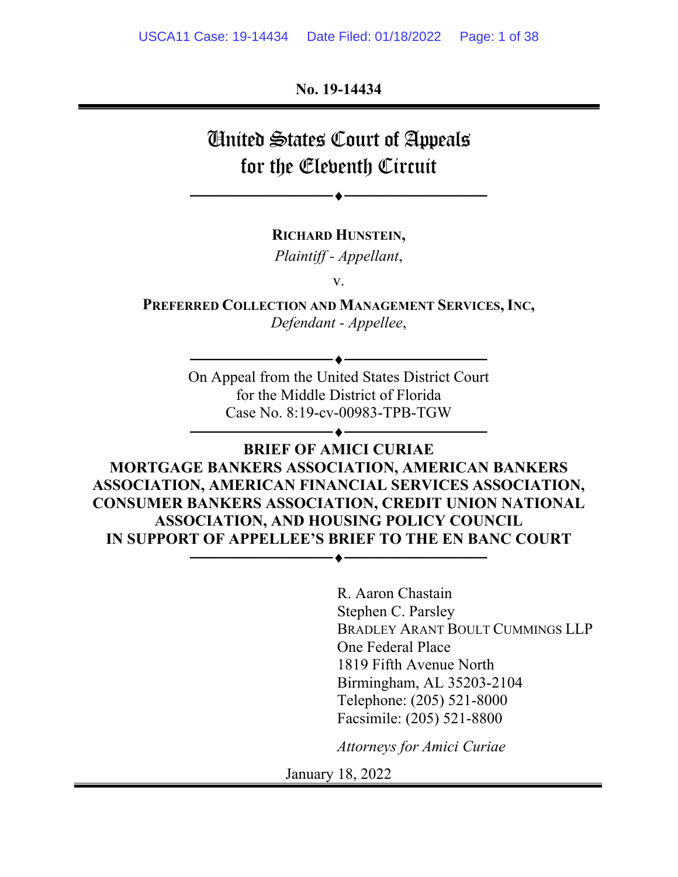**No. 19-14434** 

# United States Court of Appeals for the Eleventh Circuit

──────────────────────────

**RICHARD HUNSTEIN,** 

*Plaintiff - Appellant*,

v.

**PREFERRED COLLECTION AND MANAGEMENT SERVICES, INC,** *Defendant - Appellee*,

> On Appeal from the United States District Court for the Middle District of Florida Case No. 8:19-cv-00983-TPB-TGW

> > ──────────────────────────

──────────────────────────

## **BRIEF OF AMICI CURIAE MORTGAGE BANKERS ASSOCIATION, AMERICAN BANKERS ASSOCIATION, AMERICAN FINANCIAL SERVICES ASSOCIATION, CONSUMER BANKERS ASSOCIATION, CREDIT UNION NATIONAL ASSOCIATION, AND HOUSING POLICY COUNCIL IN SUPPORT OF APPELLEE'S BRIEF TO THE EN BANC COURT**  ─────────<del>───</del>─<del>●─────</del>──<del>─</del>

R. Aaron Chastain Stephen C. Parsley BRADLEY ARANT BOULT CUMMINGS LLP One Federal Place 1819 Fifth Avenue North Birmingham, AL 35203-2104 Telephone: (205) 521-8000 Facsimile: (205) 521-8800

*Attorneys for Amici Curiae*

January 18, 2022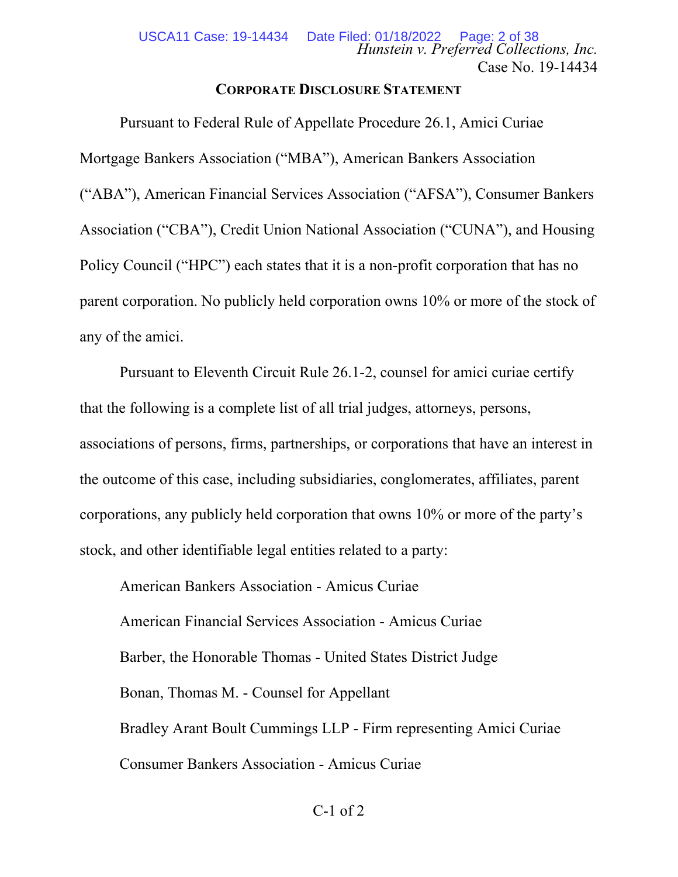### **CORPORATE DISCLOSURE STATEMENT**

Pursuant to Federal Rule of Appellate Procedure 26.1, Amici Curiae Mortgage Bankers Association ("MBA"), American Bankers Association ("ABA"), American Financial Services Association ("AFSA"), Consumer Bankers Association ("CBA"), Credit Union National Association ("CUNA"), and Housing Policy Council ("HPC") each states that it is a non-profit corporation that has no parent corporation. No publicly held corporation owns 10% or more of the stock of any of the amici.

Pursuant to Eleventh Circuit Rule 26.1-2, counsel for amici curiae certify that the following is a complete list of all trial judges, attorneys, persons, associations of persons, firms, partnerships, or corporations that have an interest in the outcome of this case, including subsidiaries, conglomerates, affiliates, parent corporations, any publicly held corporation that owns 10% or more of the party's stock, and other identifiable legal entities related to a party:

American Bankers Association - Amicus Curiae American Financial Services Association - Amicus Curiae Barber, the Honorable Thomas - United States District Judge Bonan, Thomas M. - Counsel for Appellant Bradley Arant Boult Cummings LLP - Firm representing Amici Curiae Consumer Bankers Association - Amicus Curiae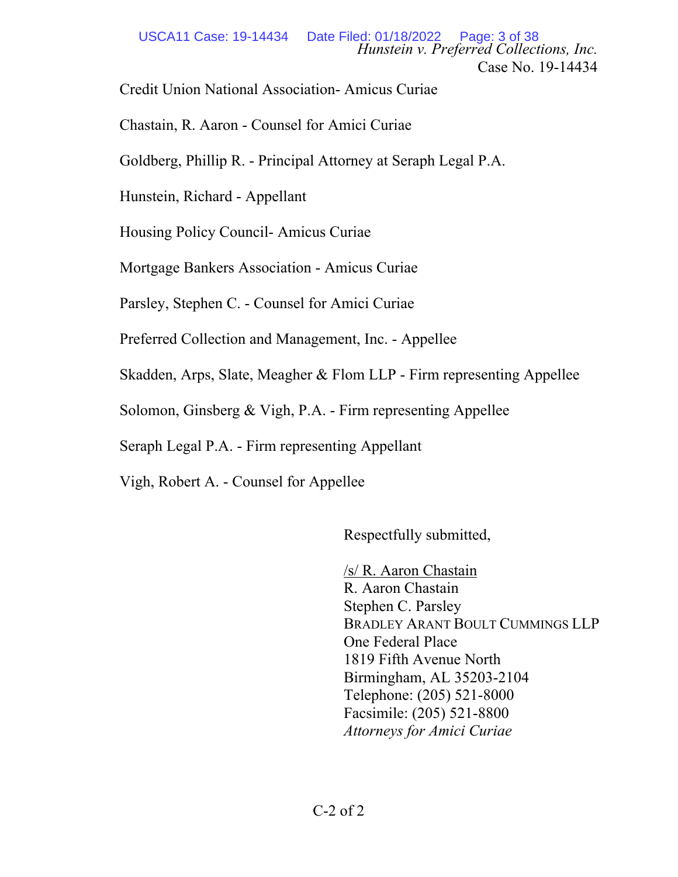*Hunstein v. Preferred Collections, Inc.* Case No. 19-14434 USCA11 Case: 19-14434 Date Filed: 01/18/2022 Page: 3 of 38

Credit Union National Association- Amicus Curiae

Chastain, R. Aaron - Counsel for Amici Curiae

Goldberg, Phillip R. - Principal Attorney at Seraph Legal P.A.

Hunstein, Richard - Appellant

Housing Policy Council- Amicus Curiae

Mortgage Bankers Association - Amicus Curiae

Parsley, Stephen C. - Counsel for Amici Curiae

Preferred Collection and Management, Inc. - Appellee

Skadden, Arps, Slate, Meagher & Flom LLP - Firm representing Appellee

Solomon, Ginsberg & Vigh, P.A. - Firm representing Appellee

Seraph Legal P.A. - Firm representing Appellant

Vigh, Robert A. - Counsel for Appellee

Respectfully submitted,

/s/ R. Aaron Chastain R. Aaron Chastain Stephen C. Parsley BRADLEY ARANT BOULT CUMMINGS LLP One Federal Place 1819 Fifth Avenue North Birmingham, AL 35203-2104 Telephone: (205) 521-8000 Facsimile: (205) 521-8800 *Attorneys for Amici Curiae*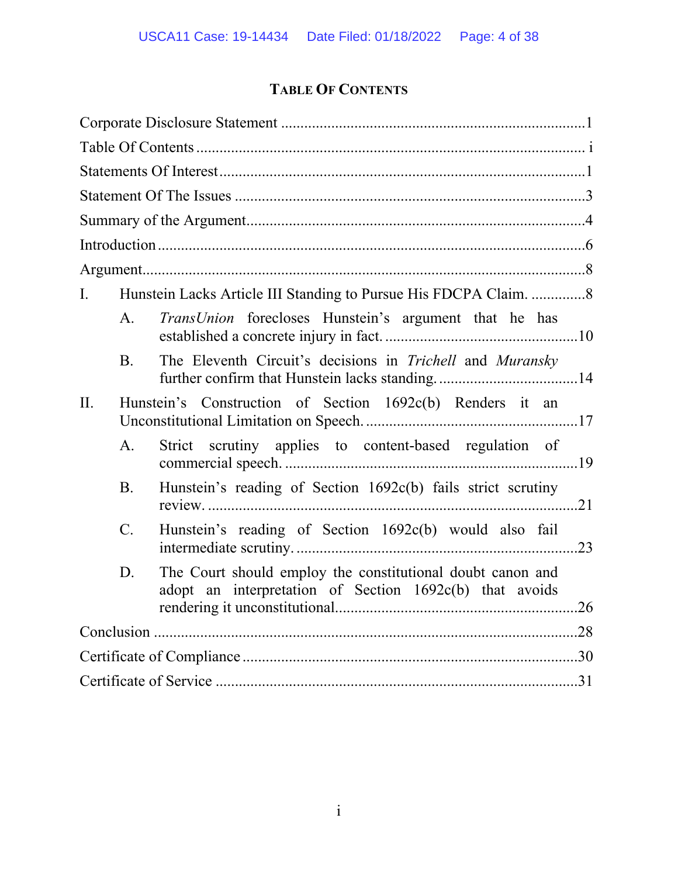## **TABLE OF CONTENTS**

| I.  |           |                                                                                                                       |  |
|-----|-----------|-----------------------------------------------------------------------------------------------------------------------|--|
|     | A.        | TransUnion forecloses Hunstein's argument that he has                                                                 |  |
|     | <b>B.</b> | The Eleventh Circuit's decisions in Trichell and Muransky                                                             |  |
| II. |           | Hunstein's Construction of Section 1692c(b) Renders it an                                                             |  |
|     | A.        | Strict scrutiny applies to content-based regulation of                                                                |  |
|     | <b>B.</b> | Hunstein's reading of Section 1692c(b) fails strict scrutiny                                                          |  |
|     | $C$ .     | Hunstein's reading of Section 1692c(b) would also fail                                                                |  |
|     | D.        | The Court should employ the constitutional doubt canon and<br>adopt an interpretation of Section 1692c(b) that avoids |  |
|     |           |                                                                                                                       |  |
|     |           |                                                                                                                       |  |
|     |           |                                                                                                                       |  |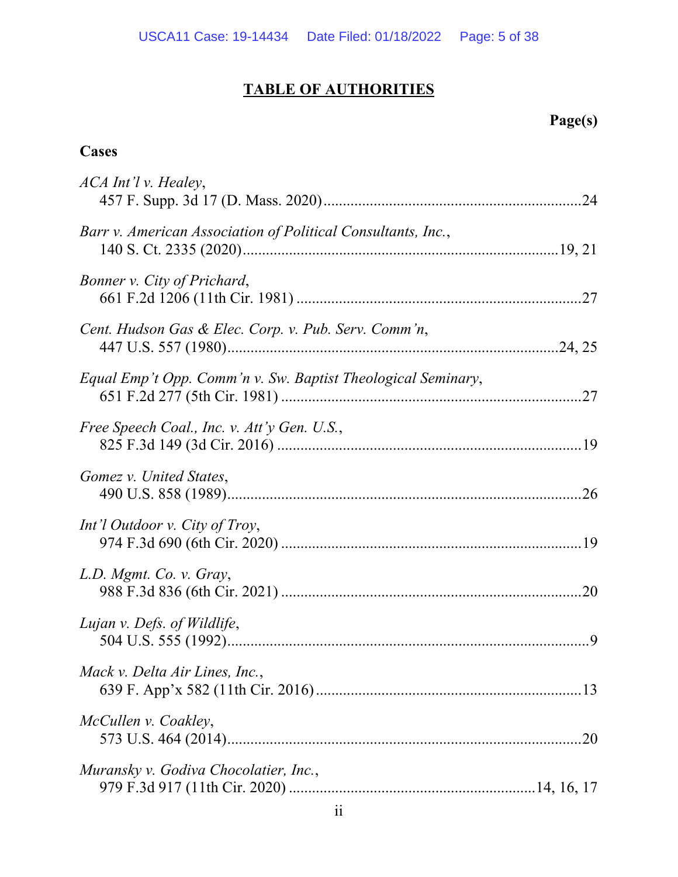## **TABLE OF AUTHORITIES**

## **Page(s)**

## **Cases**

| ACA Int'l v. Healey,                                         |
|--------------------------------------------------------------|
| Barr v. American Association of Political Consultants, Inc., |
| Bonner v. City of Prichard,                                  |
| Cent. Hudson Gas & Elec. Corp. v. Pub. Serv. Comm'n,         |
| Equal Emp't Opp. Comm'n v. Sw. Baptist Theological Seminary, |
| Free Speech Coal., Inc. v. Att'y Gen. U.S.,                  |
| Gomez v. United States,                                      |
| Int'l Outdoor v. City of Troy,                               |
| L.D. Mgmt. Co. v. Gray,                                      |
| Lujan v. Defs. of Wildlife,                                  |
| Mack v. Delta Air Lines, Inc.,                               |
| McCullen v. Coakley,                                         |
| Muransky v. Godiva Chocolatier, Inc.,                        |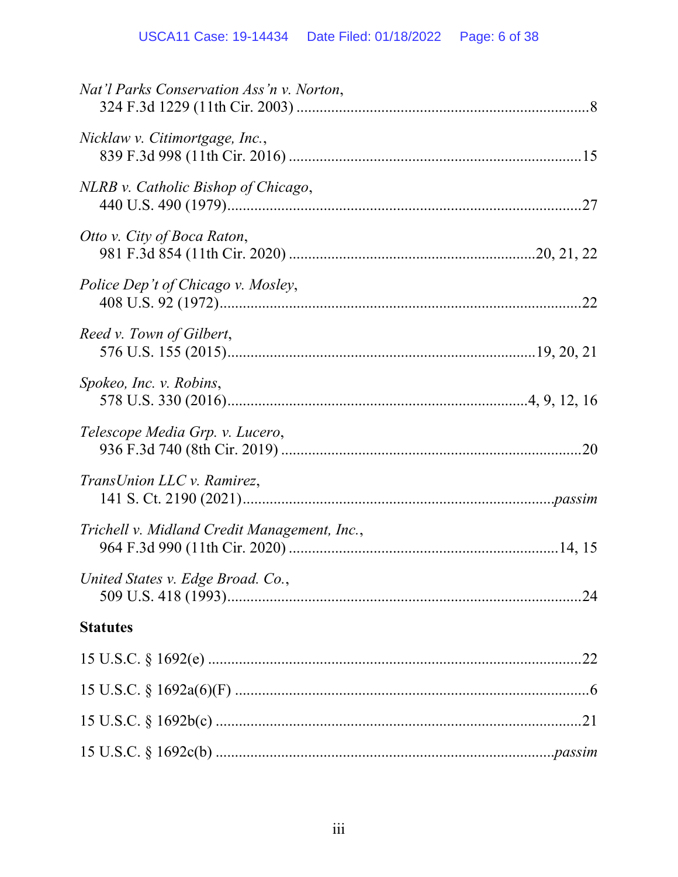## USCA11 Case: 19-14434 Date Filed: 01/18/2022 Page: 6 of 38

| Nat'l Parks Conservation Ass'n v. Norton,    |
|----------------------------------------------|
| Nicklaw v. Citimortgage, Inc.,               |
| NLRB v. Catholic Bishop of Chicago,          |
| Otto v. City of Boca Raton,                  |
| Police Dep't of Chicago v. Mosley,           |
| Reed v. Town of Gilbert,                     |
| Spokeo, Inc. v. Robins,                      |
| Telescope Media Grp. v. Lucero,              |
| TransUnion LLC v. Ramirez,                   |
| Trichell v. Midland Credit Management, Inc., |
| United States v. Edge Broad. Co.,            |
| <b>Statutes</b>                              |
|                                              |
|                                              |
|                                              |
|                                              |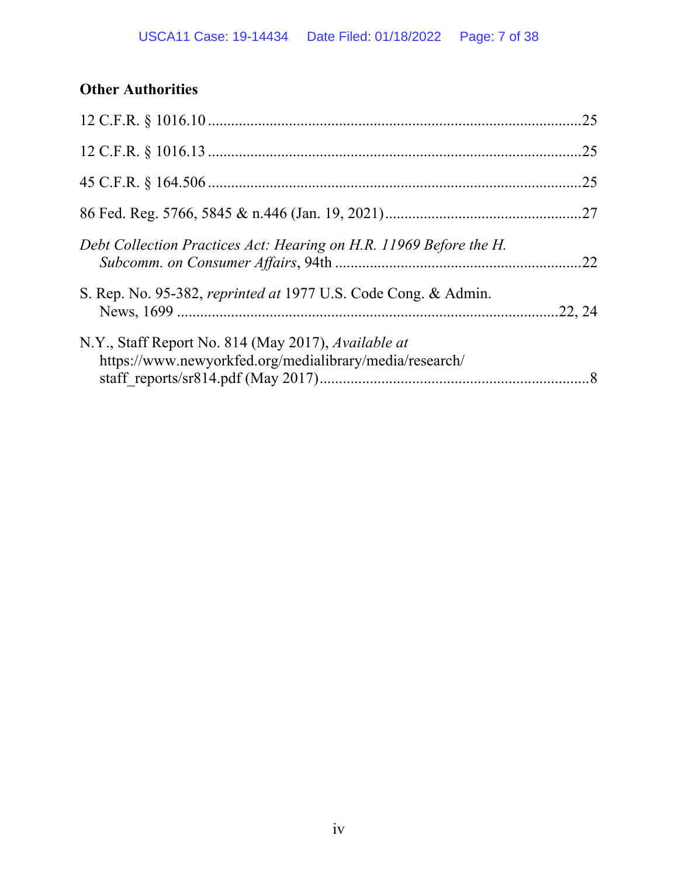## **Other Authorities**

|                                                                                                                | .25 |
|----------------------------------------------------------------------------------------------------------------|-----|
|                                                                                                                |     |
|                                                                                                                | .25 |
|                                                                                                                |     |
| Debt Collection Practices Act: Hearing on H.R. 11969 Before the H.                                             |     |
| S. Rep. No. 95-382, reprinted at 1977 U.S. Code Cong. & Admin.                                                 |     |
| N.Y., Staff Report No. 814 (May 2017), Available at<br>https://www.newyorkfed.org/medialibrary/media/research/ |     |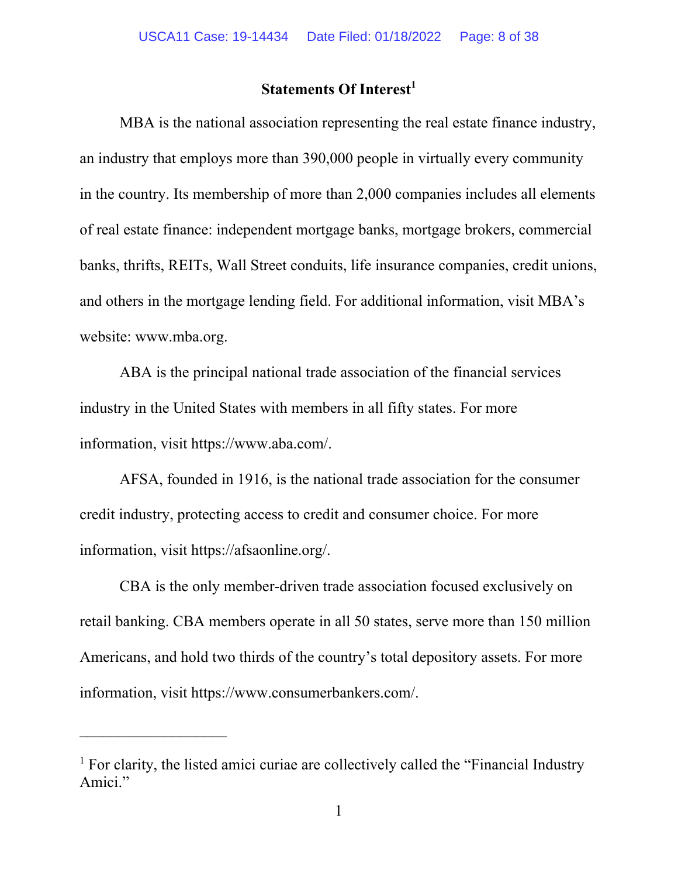### **Statements Of Interest<sup>1</sup>**

MBA is the national association representing the real estate finance industry, an industry that employs more than 390,000 people in virtually every community in the country. Its membership of more than 2,000 companies includes all elements of real estate finance: independent mortgage banks, mortgage brokers, commercial banks, thrifts, REITs, Wall Street conduits, life insurance companies, credit unions, and others in the mortgage lending field. For additional information, visit MBA's website: www.mba.org.

ABA is the principal national trade association of the financial services industry in the United States with members in all fifty states. For more information, visit https://www.aba.com/.

AFSA, founded in 1916, is the national trade association for the consumer credit industry, protecting access to credit and consumer choice. For more information, visit https://afsaonline.org/.

CBA is the only member-driven trade association focused exclusively on retail banking. CBA members operate in all 50 states, serve more than 150 million Americans, and hold two thirds of the country's total depository assets. For more information, visit https://www.consumerbankers.com/.

<sup>&</sup>lt;sup>1</sup> For clarity, the listed amici curiae are collectively called the "Financial Industry Amici."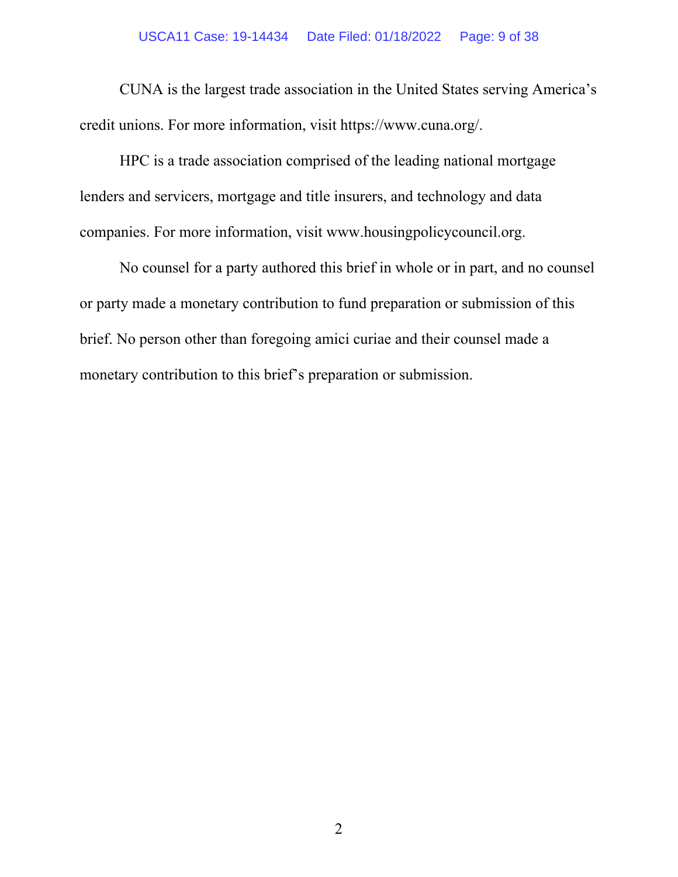#### USCA11 Case: 19-14434 Date Filed: 01/18/2022 Page: 9 of 38

CUNA is the largest trade association in the United States serving America's credit unions. For more information, visit https://www.cuna.org/.

HPC is a trade association comprised of the leading national mortgage lenders and servicers, mortgage and title insurers, and technology and data companies. For more information, visit www.housingpolicycouncil.org.

No counsel for a party authored this brief in whole or in part, and no counsel or party made a monetary contribution to fund preparation or submission of this brief. No person other than foregoing amici curiae and their counsel made a monetary contribution to this brief's preparation or submission.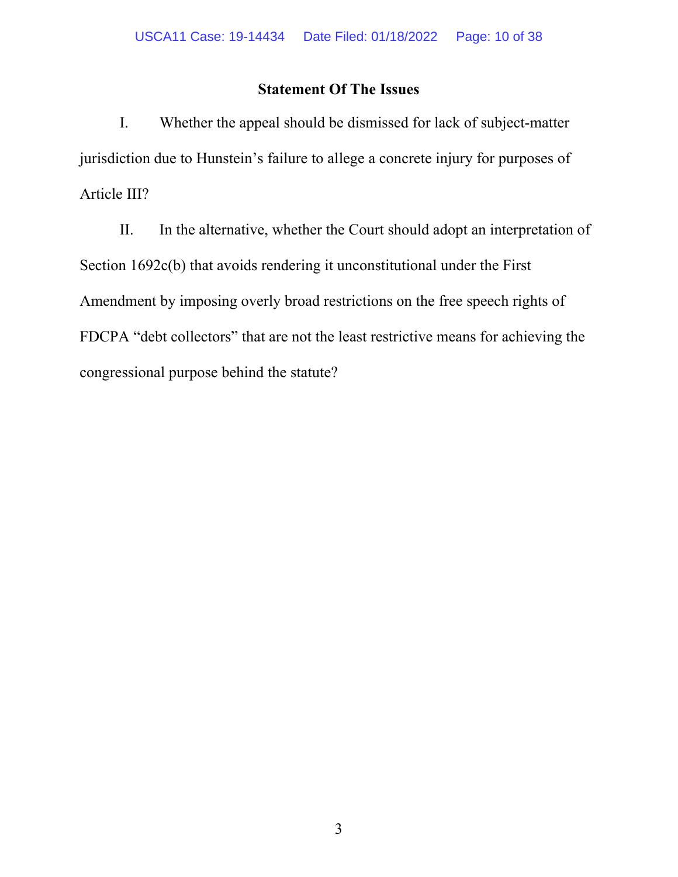## **Statement Of The Issues**

I. Whether the appeal should be dismissed for lack of subject-matter jurisdiction due to Hunstein's failure to allege a concrete injury for purposes of Article III?

II. In the alternative, whether the Court should adopt an interpretation of Section 1692c(b) that avoids rendering it unconstitutional under the First Amendment by imposing overly broad restrictions on the free speech rights of FDCPA "debt collectors" that are not the least restrictive means for achieving the congressional purpose behind the statute?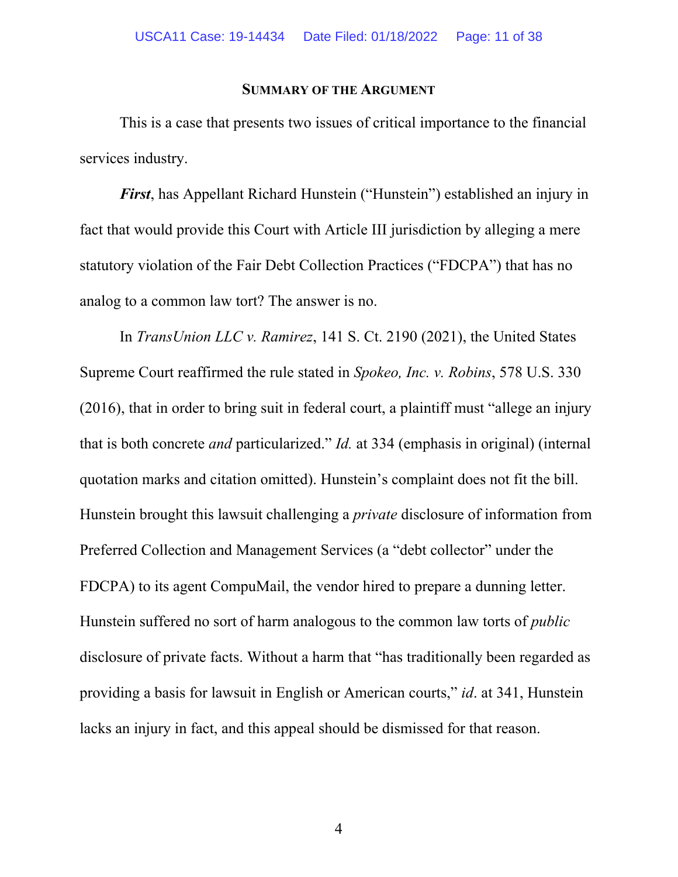#### **SUMMARY OF THE ARGUMENT**

This is a case that presents two issues of critical importance to the financial services industry.

*First*, has Appellant Richard Hunstein ("Hunstein") established an injury in fact that would provide this Court with Article III jurisdiction by alleging a mere statutory violation of the Fair Debt Collection Practices ("FDCPA") that has no analog to a common law tort? The answer is no.

In *TransUnion LLC v. Ramirez*, 141 S. Ct. 2190 (2021), the United States Supreme Court reaffirmed the rule stated in *Spokeo, Inc. v. Robins*, 578 U.S. 330 (2016), that in order to bring suit in federal court, a plaintiff must "allege an injury that is both concrete *and* particularized." *Id.* at 334 (emphasis in original) (internal quotation marks and citation omitted). Hunstein's complaint does not fit the bill. Hunstein brought this lawsuit challenging a *private* disclosure of information from Preferred Collection and Management Services (a "debt collector" under the FDCPA) to its agent CompuMail, the vendor hired to prepare a dunning letter. Hunstein suffered no sort of harm analogous to the common law torts of *public* disclosure of private facts. Without a harm that "has traditionally been regarded as providing a basis for lawsuit in English or American courts," *id*. at 341, Hunstein lacks an injury in fact, and this appeal should be dismissed for that reason.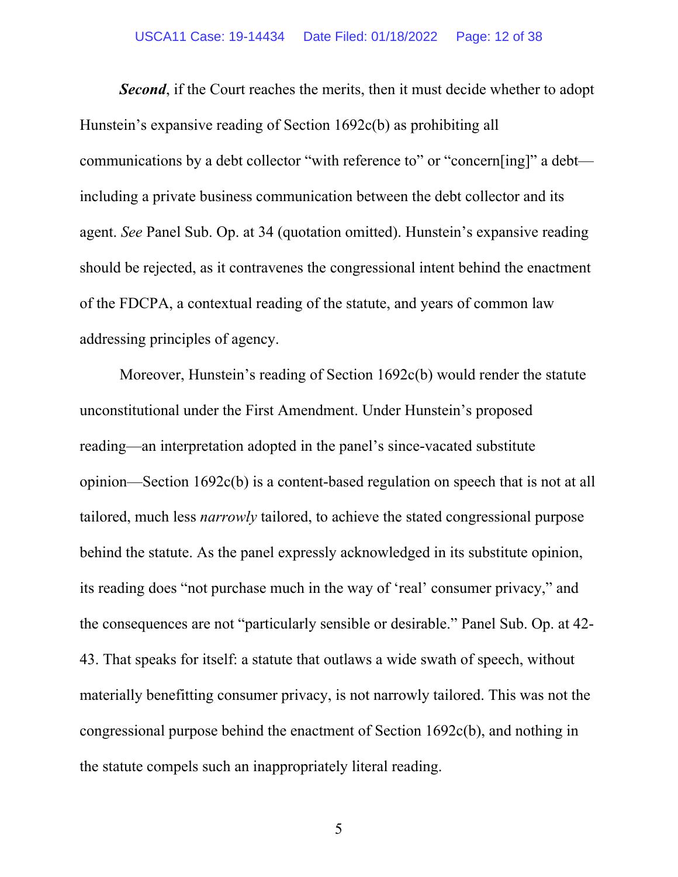#### USCA11 Case: 19-14434 Date Filed: 01/18/2022 Page: 12 of 38

**Second**, if the Court reaches the merits, then it must decide whether to adopt Hunstein's expansive reading of Section 1692c(b) as prohibiting all communications by a debt collector "with reference to" or "concern[ing]" a debt including a private business communication between the debt collector and its agent. *See* Panel Sub. Op. at 34 (quotation omitted). Hunstein's expansive reading should be rejected, as it contravenes the congressional intent behind the enactment of the FDCPA, a contextual reading of the statute, and years of common law addressing principles of agency.

Moreover, Hunstein's reading of Section 1692c(b) would render the statute unconstitutional under the First Amendment. Under Hunstein's proposed reading—an interpretation adopted in the panel's since-vacated substitute opinion—Section 1692c(b) is a content-based regulation on speech that is not at all tailored, much less *narrowly* tailored, to achieve the stated congressional purpose behind the statute. As the panel expressly acknowledged in its substitute opinion, its reading does "not purchase much in the way of 'real' consumer privacy," and the consequences are not "particularly sensible or desirable." Panel Sub. Op. at 42- 43. That speaks for itself: a statute that outlaws a wide swath of speech, without materially benefitting consumer privacy, is not narrowly tailored. This was not the congressional purpose behind the enactment of Section 1692c(b), and nothing in the statute compels such an inappropriately literal reading.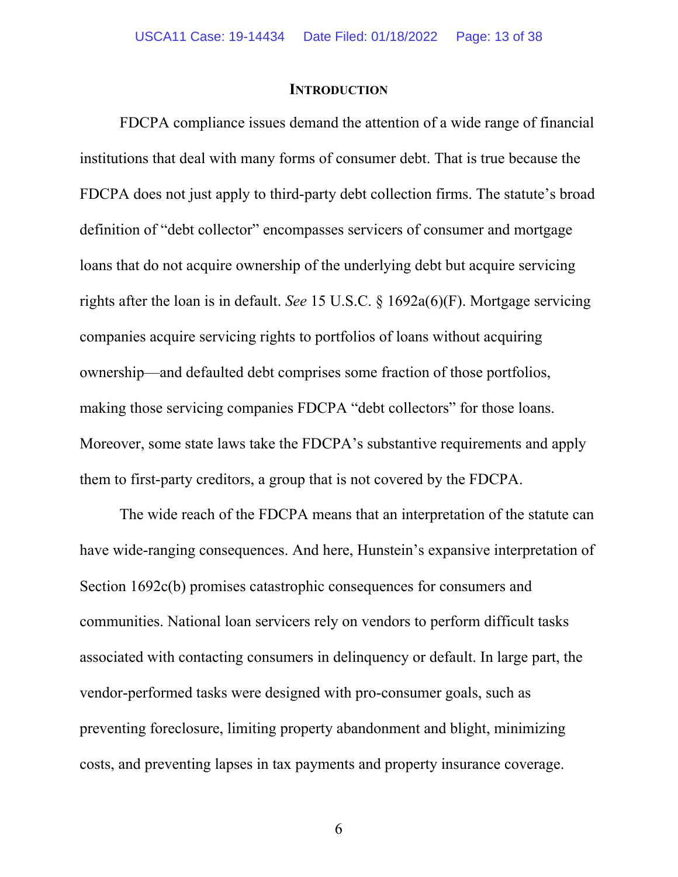#### **INTRODUCTION**

FDCPA compliance issues demand the attention of a wide range of financial institutions that deal with many forms of consumer debt. That is true because the FDCPA does not just apply to third-party debt collection firms. The statute's broad definition of "debt collector" encompasses servicers of consumer and mortgage loans that do not acquire ownership of the underlying debt but acquire servicing rights after the loan is in default. *See* 15 U.S.C. § 1692a(6)(F). Mortgage servicing companies acquire servicing rights to portfolios of loans without acquiring ownership—and defaulted debt comprises some fraction of those portfolios, making those servicing companies FDCPA "debt collectors" for those loans. Moreover, some state laws take the FDCPA's substantive requirements and apply them to first-party creditors, a group that is not covered by the FDCPA.

The wide reach of the FDCPA means that an interpretation of the statute can have wide-ranging consequences. And here, Hunstein's expansive interpretation of Section 1692c(b) promises catastrophic consequences for consumers and communities. National loan servicers rely on vendors to perform difficult tasks associated with contacting consumers in delinquency or default. In large part, the vendor-performed tasks were designed with pro-consumer goals, such as preventing foreclosure, limiting property abandonment and blight, minimizing costs, and preventing lapses in tax payments and property insurance coverage.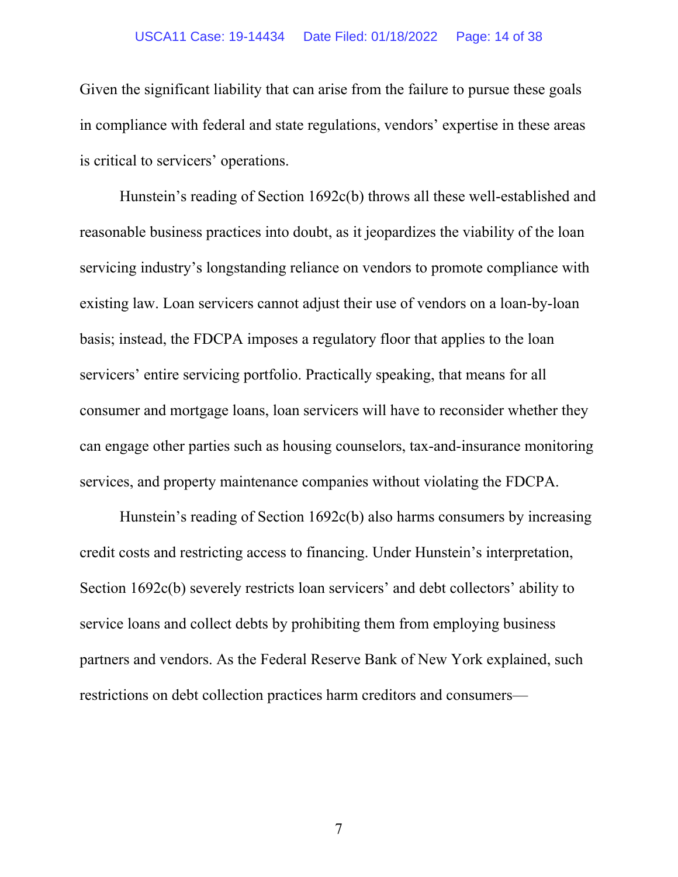#### USCA11 Case: 19-14434 Date Filed: 01/18/2022 Page: 14 of 38

Given the significant liability that can arise from the failure to pursue these goals in compliance with federal and state regulations, vendors' expertise in these areas is critical to servicers' operations.

Hunstein's reading of Section 1692c(b) throws all these well-established and reasonable business practices into doubt, as it jeopardizes the viability of the loan servicing industry's longstanding reliance on vendors to promote compliance with existing law. Loan servicers cannot adjust their use of vendors on a loan-by-loan basis; instead, the FDCPA imposes a regulatory floor that applies to the loan servicers' entire servicing portfolio. Practically speaking, that means for all consumer and mortgage loans, loan servicers will have to reconsider whether they can engage other parties such as housing counselors, tax-and-insurance monitoring services, and property maintenance companies without violating the FDCPA.

Hunstein's reading of Section 1692c(b) also harms consumers by increasing credit costs and restricting access to financing. Under Hunstein's interpretation, Section 1692c(b) severely restricts loan servicers' and debt collectors' ability to service loans and collect debts by prohibiting them from employing business partners and vendors. As the Federal Reserve Bank of New York explained, such restrictions on debt collection practices harm creditors and consumers—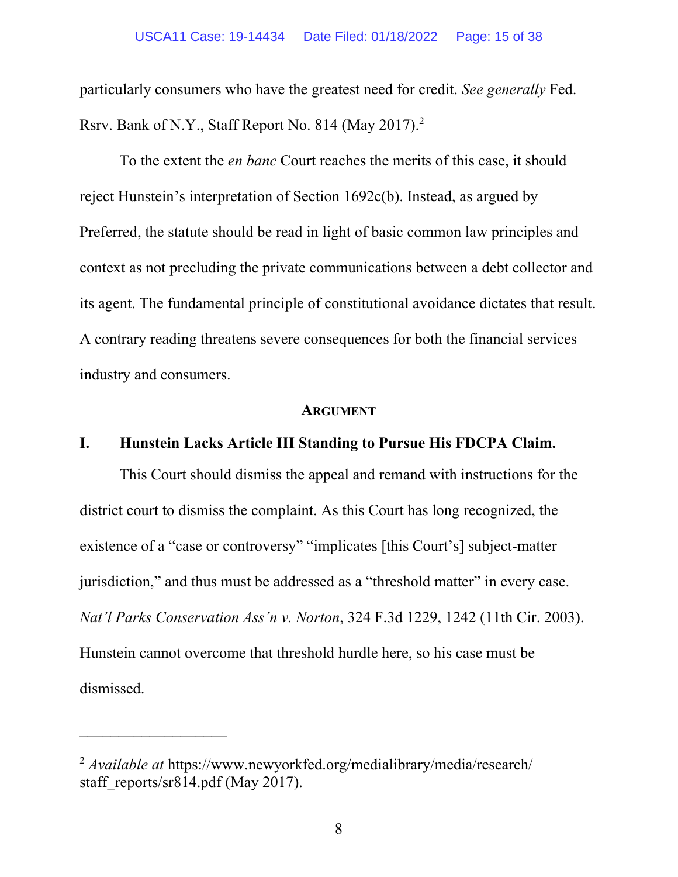particularly consumers who have the greatest need for credit. *See generally* Fed. Rsrv. Bank of N.Y., Staff Report No. 814 (May 2017).<sup>2</sup>

To the extent the *en banc* Court reaches the merits of this case, it should reject Hunstein's interpretation of Section 1692c(b). Instead, as argued by Preferred, the statute should be read in light of basic common law principles and context as not precluding the private communications between a debt collector and its agent. The fundamental principle of constitutional avoidance dictates that result. A contrary reading threatens severe consequences for both the financial services industry and consumers.

#### **ARGUMENT**

### **I. Hunstein Lacks Article III Standing to Pursue His FDCPA Claim.**

This Court should dismiss the appeal and remand with instructions for the district court to dismiss the complaint. As this Court has long recognized, the existence of a "case or controversy" "implicates [this Court's] subject-matter jurisdiction," and thus must be addressed as a "threshold matter" in every case. *Nat'l Parks Conservation Ass'n v. Norton*, 324 F.3d 1229, 1242 (11th Cir. 2003). Hunstein cannot overcome that threshold hurdle here, so his case must be dismissed.

<sup>2</sup> *Available at* https://www.newyorkfed.org/medialibrary/media/research/ staff\_reports/sr814.pdf (May 2017).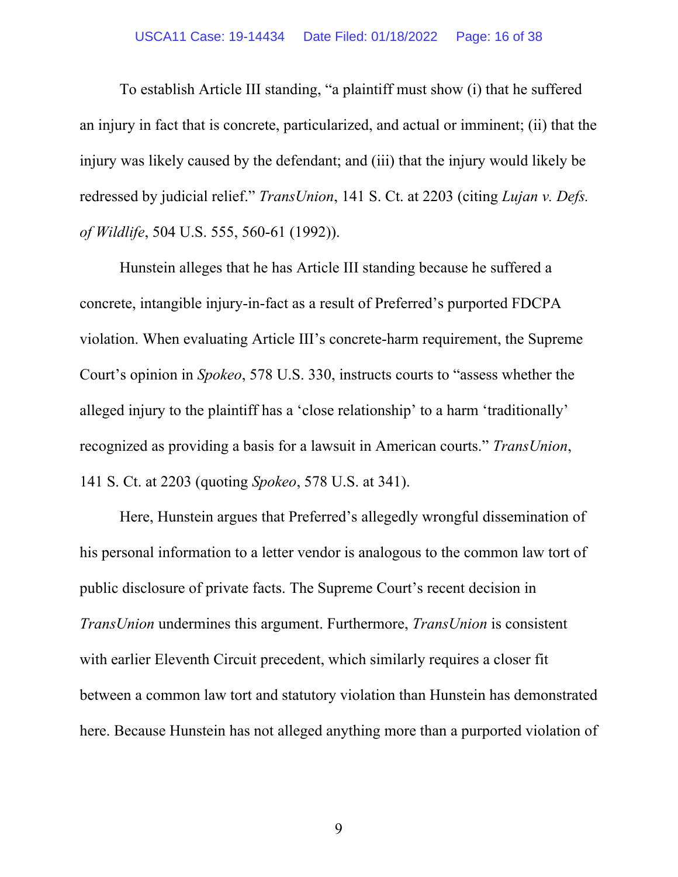#### USCA11 Case: 19-14434 Date Filed: 01/18/2022 Page: 16 of 38

To establish Article III standing, "a plaintiff must show (i) that he suffered an injury in fact that is concrete, particularized, and actual or imminent; (ii) that the injury was likely caused by the defendant; and (iii) that the injury would likely be redressed by judicial relief." *TransUnion*, 141 S. Ct. at 2203 (citing *Lujan v. Defs. of Wildlife*, 504 U.S. 555, 560-61 (1992)).

Hunstein alleges that he has Article III standing because he suffered a concrete, intangible injury-in-fact as a result of Preferred's purported FDCPA violation. When evaluating Article III's concrete-harm requirement, the Supreme Court's opinion in *Spokeo*, 578 U.S. 330, instructs courts to "assess whether the alleged injury to the plaintiff has a 'close relationship' to a harm 'traditionally' recognized as providing a basis for a lawsuit in American courts." *TransUnion*, 141 S. Ct. at 2203 (quoting *Spokeo*, 578 U.S. at 341).

Here, Hunstein argues that Preferred's allegedly wrongful dissemination of his personal information to a letter vendor is analogous to the common law tort of public disclosure of private facts. The Supreme Court's recent decision in *TransUnion* undermines this argument. Furthermore, *TransUnion* is consistent with earlier Eleventh Circuit precedent, which similarly requires a closer fit between a common law tort and statutory violation than Hunstein has demonstrated here. Because Hunstein has not alleged anything more than a purported violation of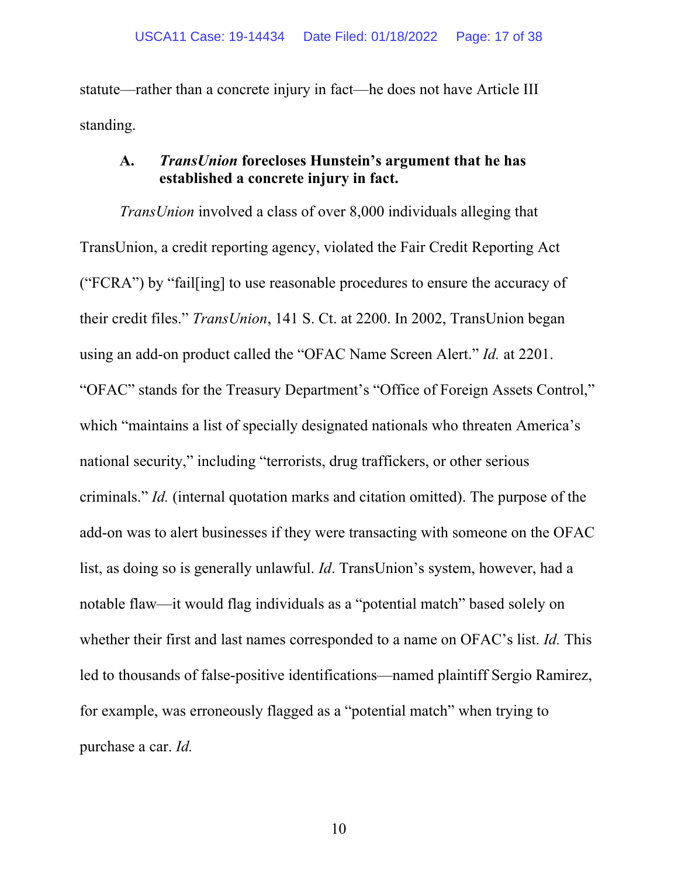statute—rather than a concrete injury in fact—he does not have Article III standing.

## **A.** *TransUnion* **forecloses Hunstein's argument that he has established a concrete injury in fact.**

*TransUnion* involved a class of over 8,000 individuals alleging that TransUnion, a credit reporting agency, violated the Fair Credit Reporting Act ("FCRA") by "fail[ing] to use reasonable procedures to ensure the accuracy of their credit files." *TransUnion*, 141 S. Ct. at 2200. In 2002, TransUnion began using an add-on product called the "OFAC Name Screen Alert." *Id.* at 2201. "OFAC" stands for the Treasury Department's "Office of Foreign Assets Control," which "maintains a list of specially designated nationals who threaten America's national security," including "terrorists, drug traffickers, or other serious criminals." *Id.* (internal quotation marks and citation omitted). The purpose of the add-on was to alert businesses if they were transacting with someone on the OFAC list, as doing so is generally unlawful. *Id*. TransUnion's system, however, had a notable flaw—it would flag individuals as a "potential match" based solely on whether their first and last names corresponded to a name on OFAC's list. *Id.* This led to thousands of false-positive identifications—named plaintiff Sergio Ramirez, for example, was erroneously flagged as a "potential match" when trying to purchase a car. *Id.*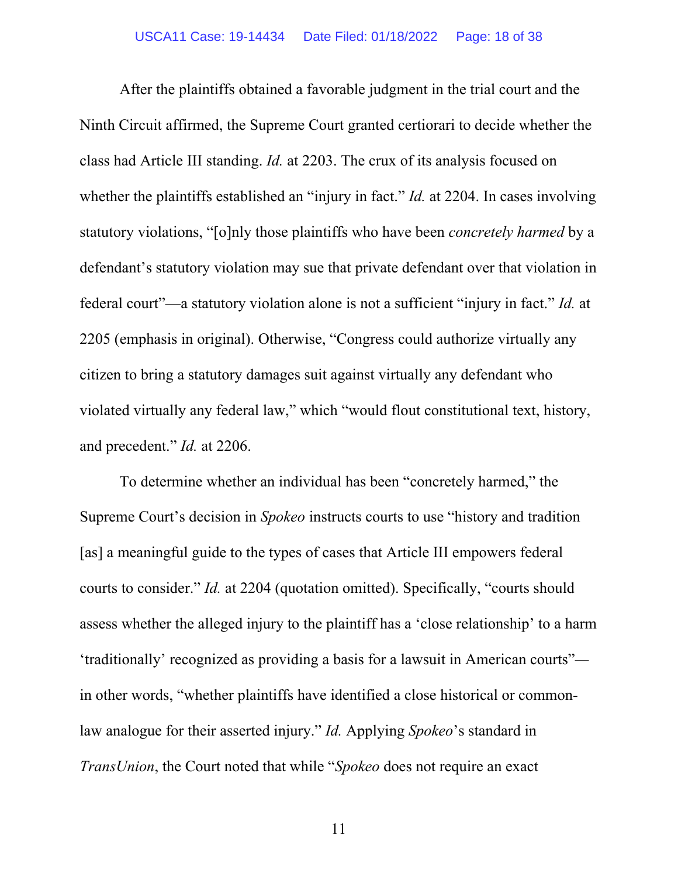After the plaintiffs obtained a favorable judgment in the trial court and the Ninth Circuit affirmed, the Supreme Court granted certiorari to decide whether the class had Article III standing. *Id.* at 2203. The crux of its analysis focused on whether the plaintiffs established an "injury in fact." *Id.* at 2204. In cases involving statutory violations, "[o]nly those plaintiffs who have been *concretely harmed* by a defendant's statutory violation may sue that private defendant over that violation in federal court"—a statutory violation alone is not a sufficient "injury in fact." *Id.* at 2205 (emphasis in original). Otherwise, "Congress could authorize virtually any citizen to bring a statutory damages suit against virtually any defendant who violated virtually any federal law," which "would flout constitutional text, history, and precedent." *Id.* at 2206.

To determine whether an individual has been "concretely harmed," the Supreme Court's decision in *Spokeo* instructs courts to use "history and tradition [as] a meaningful guide to the types of cases that Article III empowers federal courts to consider." *Id.* at 2204 (quotation omitted). Specifically, "courts should assess whether the alleged injury to the plaintiff has a 'close relationship' to a harm 'traditionally' recognized as providing a basis for a lawsuit in American courts" in other words, "whether plaintiffs have identified a close historical or commonlaw analogue for their asserted injury." *Id.* Applying *Spokeo*'s standard in *TransUnion*, the Court noted that while "*Spokeo* does not require an exact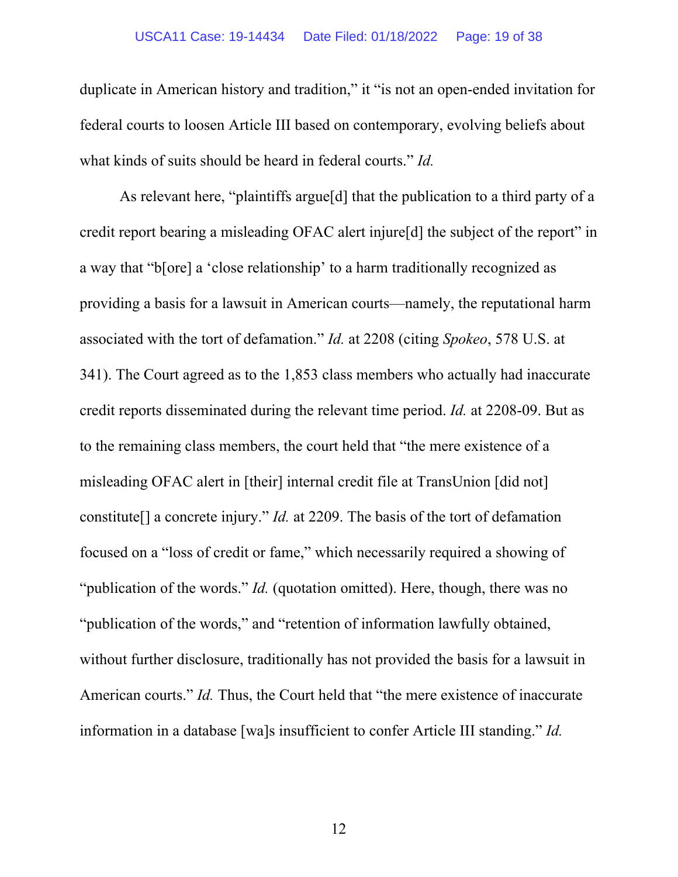#### USCA11 Case: 19-14434 Date Filed: 01/18/2022 Page: 19 of 38

duplicate in American history and tradition," it "is not an open-ended invitation for federal courts to loosen Article III based on contemporary, evolving beliefs about what kinds of suits should be heard in federal courts." *Id.*

As relevant here, "plaintiffs argue[d] that the publication to a third party of a credit report bearing a misleading OFAC alert injure[d] the subject of the report" in a way that "b[ore] a 'close relationship' to a harm traditionally recognized as providing a basis for a lawsuit in American courts—namely, the reputational harm associated with the tort of defamation." *Id.* at 2208 (citing *Spokeo*, 578 U.S. at 341). The Court agreed as to the 1,853 class members who actually had inaccurate credit reports disseminated during the relevant time period. *Id.* at 2208-09. But as to the remaining class members, the court held that "the mere existence of a misleading OFAC alert in [their] internal credit file at TransUnion [did not] constitute[] a concrete injury." *Id.* at 2209. The basis of the tort of defamation focused on a "loss of credit or fame," which necessarily required a showing of "publication of the words." *Id.* (quotation omitted). Here, though, there was no "publication of the words," and "retention of information lawfully obtained, without further disclosure, traditionally has not provided the basis for a lawsuit in American courts." *Id.* Thus, the Court held that "the mere existence of inaccurate information in a database [wa]s insufficient to confer Article III standing." *Id.*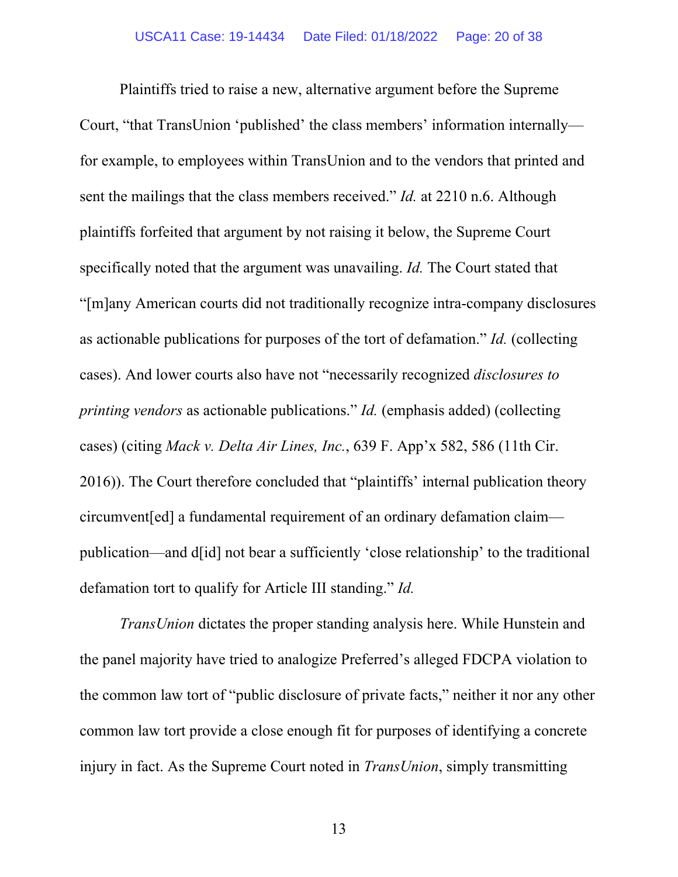Plaintiffs tried to raise a new, alternative argument before the Supreme Court, "that TransUnion 'published' the class members' information internally for example, to employees within TransUnion and to the vendors that printed and sent the mailings that the class members received." *Id.* at 2210 n.6. Although plaintiffs forfeited that argument by not raising it below, the Supreme Court specifically noted that the argument was unavailing. *Id.* The Court stated that "[m]any American courts did not traditionally recognize intra-company disclosures as actionable publications for purposes of the tort of defamation." *Id.* (collecting cases). And lower courts also have not "necessarily recognized *disclosures to printing vendors* as actionable publications." *Id.* (emphasis added) (collecting cases) (citing *Mack v. Delta Air Lines, Inc.*, 639 F. App'x 582, 586 (11th Cir. 2016)). The Court therefore concluded that "plaintiffs' internal publication theory circumvent[ed] a fundamental requirement of an ordinary defamation claim publication—and d[id] not bear a sufficiently 'close relationship' to the traditional defamation tort to qualify for Article III standing." *Id.* 

*TransUnion* dictates the proper standing analysis here. While Hunstein and the panel majority have tried to analogize Preferred's alleged FDCPA violation to the common law tort of "public disclosure of private facts," neither it nor any other common law tort provide a close enough fit for purposes of identifying a concrete injury in fact. As the Supreme Court noted in *TransUnion*, simply transmitting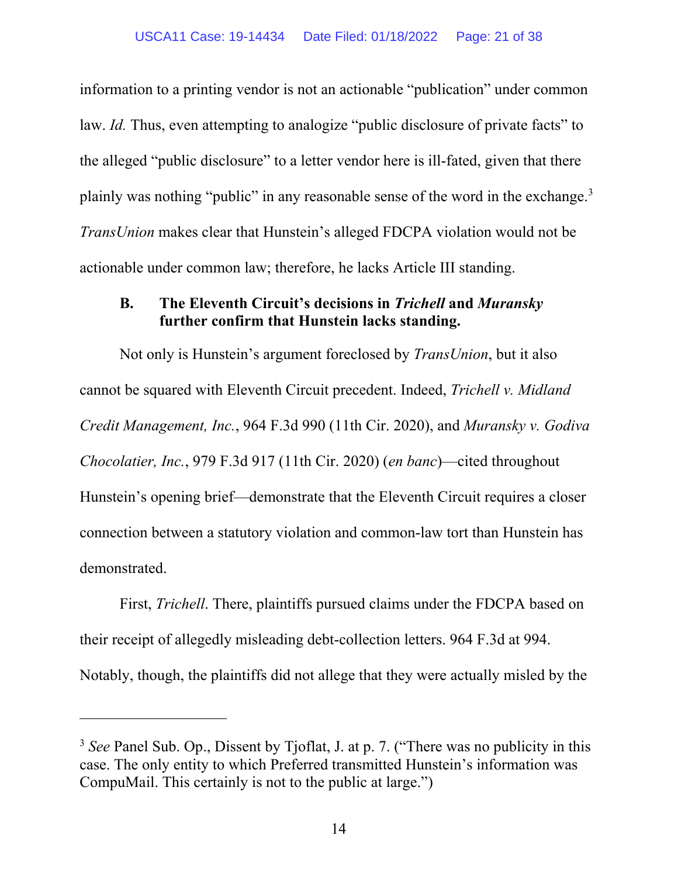information to a printing vendor is not an actionable "publication" under common law. *Id.* Thus, even attempting to analogize "public disclosure of private facts" to the alleged "public disclosure" to a letter vendor here is ill-fated, given that there plainly was nothing "public" in any reasonable sense of the word in the exchange.<sup>3</sup> *TransUnion* makes clear that Hunstein's alleged FDCPA violation would not be actionable under common law; therefore, he lacks Article III standing.

## **B. The Eleventh Circuit's decisions in** *Trichell* **and** *Muransky*  **further confirm that Hunstein lacks standing.**

Not only is Hunstein's argument foreclosed by *TransUnion*, but it also cannot be squared with Eleventh Circuit precedent. Indeed, *Trichell v. Midland Credit Management, Inc.*, 964 F.3d 990 (11th Cir. 2020), and *Muransky v. Godiva Chocolatier, Inc.*, 979 F.3d 917 (11th Cir. 2020) (*en banc*)—cited throughout Hunstein's opening brief—demonstrate that the Eleventh Circuit requires a closer connection between a statutory violation and common-law tort than Hunstein has demonstrated.

First, *Trichell*. There, plaintiffs pursued claims under the FDCPA based on their receipt of allegedly misleading debt-collection letters. 964 F.3d at 994. Notably, though, the plaintiffs did not allege that they were actually misled by the

 $\mathcal{L}_\text{max}$  , where  $\mathcal{L}_\text{max}$ 

<sup>&</sup>lt;sup>3</sup> See Panel Sub. Op., Dissent by Tjoflat, J. at p. 7. ("There was no publicity in this case. The only entity to which Preferred transmitted Hunstein's information was CompuMail. This certainly is not to the public at large.")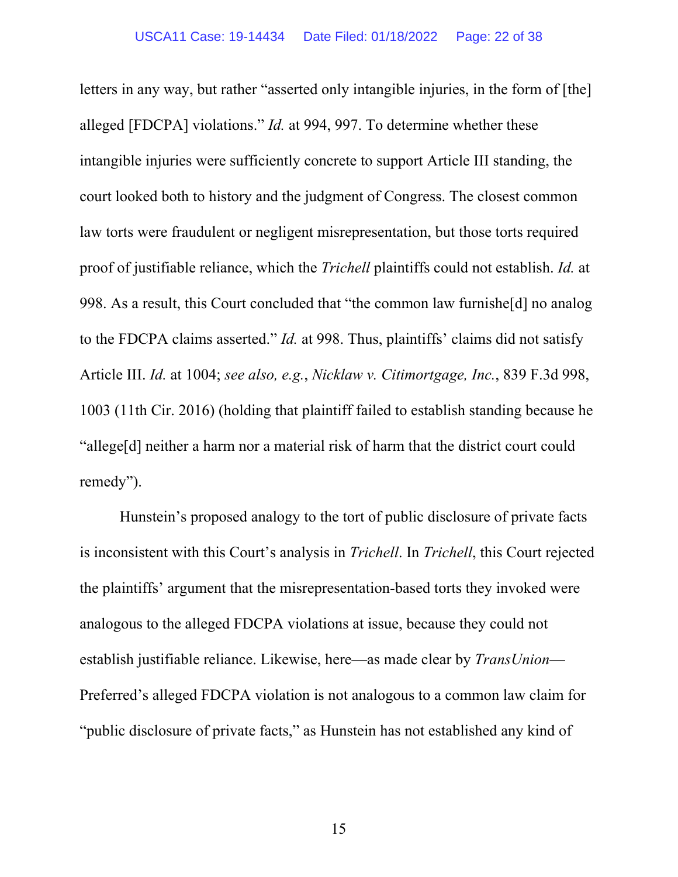letters in any way, but rather "asserted only intangible injuries, in the form of [the] alleged [FDCPA] violations." *Id.* at 994, 997. To determine whether these intangible injuries were sufficiently concrete to support Article III standing, the court looked both to history and the judgment of Congress. The closest common law torts were fraudulent or negligent misrepresentation, but those torts required proof of justifiable reliance, which the *Trichell* plaintiffs could not establish. *Id.* at 998. As a result, this Court concluded that "the common law furnishe[d] no analog to the FDCPA claims asserted." *Id.* at 998. Thus, plaintiffs' claims did not satisfy Article III. *Id.* at 1004; *see also, e.g.*, *Nicklaw v. Citimortgage, Inc.*, 839 F.3d 998, 1003 (11th Cir. 2016) (holding that plaintiff failed to establish standing because he "allege[d] neither a harm nor a material risk of harm that the district court could remedy").

Hunstein's proposed analogy to the tort of public disclosure of private facts is inconsistent with this Court's analysis in *Trichell*. In *Trichell*, this Court rejected the plaintiffs' argument that the misrepresentation-based torts they invoked were analogous to the alleged FDCPA violations at issue, because they could not establish justifiable reliance. Likewise, here—as made clear by *TransUnion*— Preferred's alleged FDCPA violation is not analogous to a common law claim for "public disclosure of private facts," as Hunstein has not established any kind of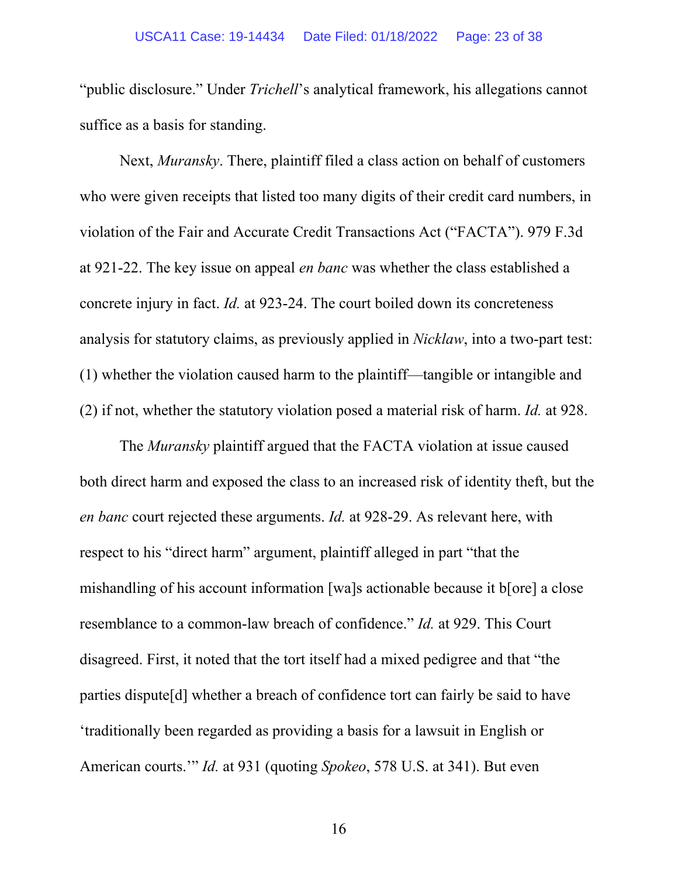"public disclosure." Under *Trichell*'s analytical framework, his allegations cannot suffice as a basis for standing.

Next, *Muransky*. There, plaintiff filed a class action on behalf of customers who were given receipts that listed too many digits of their credit card numbers, in violation of the Fair and Accurate Credit Transactions Act ("FACTA"). 979 F.3d at 921-22. The key issue on appeal *en banc* was whether the class established a concrete injury in fact. *Id.* at 923-24. The court boiled down its concreteness analysis for statutory claims, as previously applied in *Nicklaw*, into a two-part test: (1) whether the violation caused harm to the plaintiff—tangible or intangible and (2) if not, whether the statutory violation posed a material risk of harm. *Id.* at 928.

The *Muransky* plaintiff argued that the FACTA violation at issue caused both direct harm and exposed the class to an increased risk of identity theft, but the *en banc* court rejected these arguments. *Id.* at 928-29. As relevant here, with respect to his "direct harm" argument, plaintiff alleged in part "that the mishandling of his account information [wa]s actionable because it b[ore] a close resemblance to a common-law breach of confidence." *Id.* at 929. This Court disagreed. First, it noted that the tort itself had a mixed pedigree and that "the parties dispute[d] whether a breach of confidence tort can fairly be said to have 'traditionally been regarded as providing a basis for a lawsuit in English or American courts.'" *Id.* at 931 (quoting *Spokeo*, 578 U.S. at 341). But even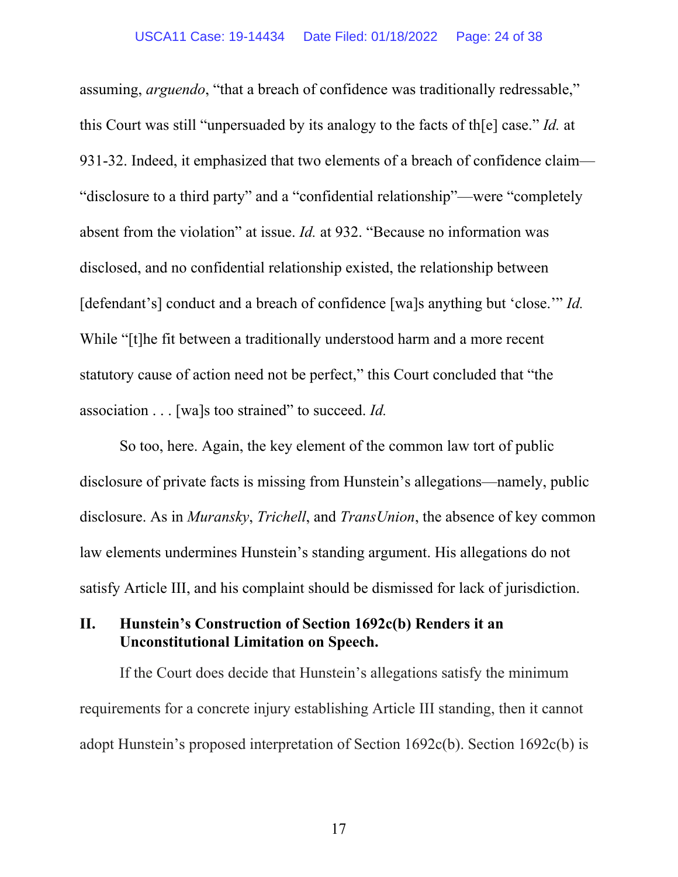assuming, *arguendo*, "that a breach of confidence was traditionally redressable," this Court was still "unpersuaded by its analogy to the facts of th[e] case." *Id.* at 931-32. Indeed, it emphasized that two elements of a breach of confidence claim— "disclosure to a third party" and a "confidential relationship"—were "completely absent from the violation" at issue. *Id.* at 932. "Because no information was disclosed, and no confidential relationship existed, the relationship between [defendant's] conduct and a breach of confidence [wa]s anything but 'close.'" *Id.* While "[t]he fit between a traditionally understood harm and a more recent statutory cause of action need not be perfect," this Court concluded that "the association . . . [wa]s too strained" to succeed. *Id.*

So too, here. Again, the key element of the common law tort of public disclosure of private facts is missing from Hunstein's allegations—namely, public disclosure. As in *Muransky*, *Trichell*, and *TransUnion*, the absence of key common law elements undermines Hunstein's standing argument. His allegations do not satisfy Article III, and his complaint should be dismissed for lack of jurisdiction.

## **II. Hunstein's Construction of Section 1692c(b) Renders it an Unconstitutional Limitation on Speech.**

If the Court does decide that Hunstein's allegations satisfy the minimum requirements for a concrete injury establishing Article III standing, then it cannot adopt Hunstein's proposed interpretation of Section 1692c(b). Section 1692c(b) is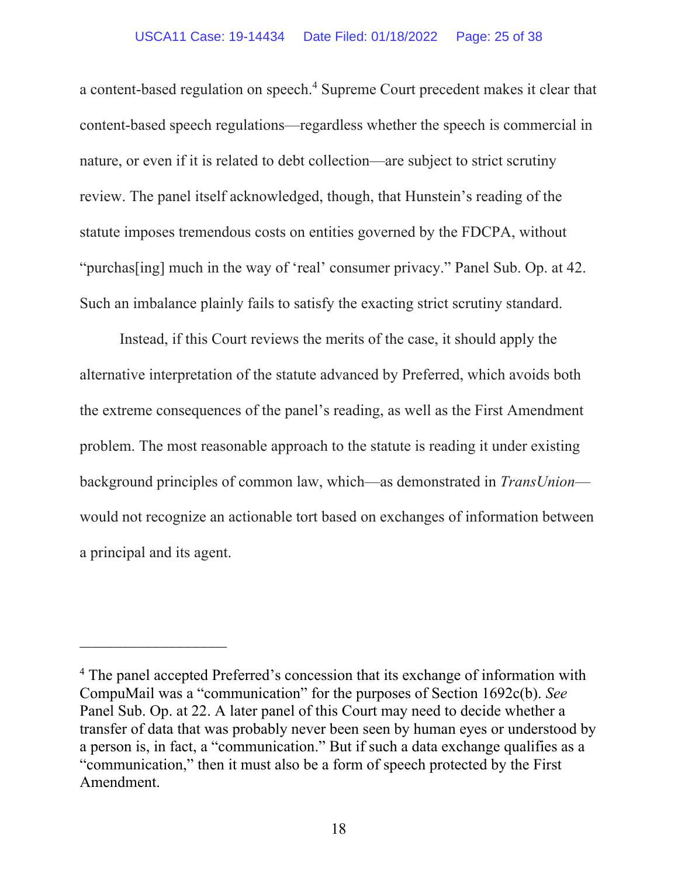#### USCA11 Case: 19-14434 Date Filed: 01/18/2022 Page: 25 of 38

a content-based regulation on speech.<sup>4</sup> Supreme Court precedent makes it clear that content-based speech regulations—regardless whether the speech is commercial in nature, or even if it is related to debt collection—are subject to strict scrutiny review. The panel itself acknowledged, though, that Hunstein's reading of the statute imposes tremendous costs on entities governed by the FDCPA, without "purchas[ing] much in the way of 'real' consumer privacy." Panel Sub. Op. at 42. Such an imbalance plainly fails to satisfy the exacting strict scrutiny standard.

Instead, if this Court reviews the merits of the case, it should apply the alternative interpretation of the statute advanced by Preferred, which avoids both the extreme consequences of the panel's reading, as well as the First Amendment problem. The most reasonable approach to the statute is reading it under existing background principles of common law, which—as demonstrated in *TransUnion* would not recognize an actionable tort based on exchanges of information between a principal and its agent.

 $\mathcal{L}_\text{max}$ 

<sup>&</sup>lt;sup>4</sup> The panel accepted Preferred's concession that its exchange of information with CompuMail was a "communication" for the purposes of Section 1692c(b). *See* Panel Sub. Op. at 22. A later panel of this Court may need to decide whether a transfer of data that was probably never been seen by human eyes or understood by a person is, in fact, a "communication." But if such a data exchange qualifies as a "communication," then it must also be a form of speech protected by the First Amendment.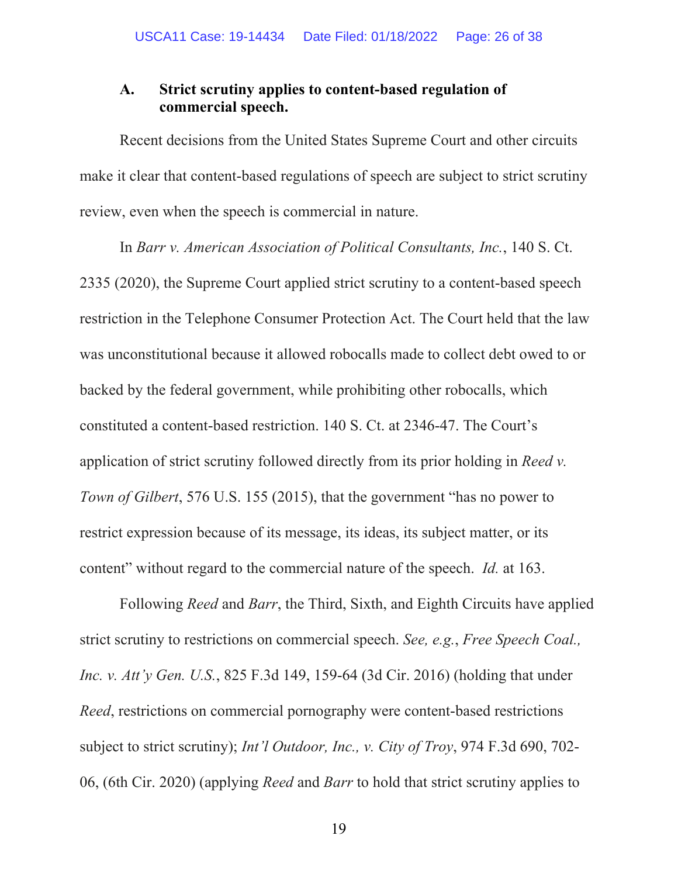## **A. Strict scrutiny applies to content-based regulation of commercial speech.**

Recent decisions from the United States Supreme Court and other circuits make it clear that content-based regulations of speech are subject to strict scrutiny review, even when the speech is commercial in nature.

In *Barr v. American Association of Political Consultants, Inc.*, 140 S. Ct. 2335 (2020), the Supreme Court applied strict scrutiny to a content-based speech restriction in the Telephone Consumer Protection Act. The Court held that the law was unconstitutional because it allowed robocalls made to collect debt owed to or backed by the federal government, while prohibiting other robocalls, which constituted a content-based restriction. 140 S. Ct. at 2346-47. The Court's application of strict scrutiny followed directly from its prior holding in *Reed v. Town of Gilbert*, 576 U.S. 155 (2015), that the government "has no power to restrict expression because of its message, its ideas, its subject matter, or its content" without regard to the commercial nature of the speech. *Id.* at 163.

Following *Reed* and *Barr*, the Third, Sixth, and Eighth Circuits have applied strict scrutiny to restrictions on commercial speech. *See, e.g.*, *Free Speech Coal., Inc. v. Att'y Gen. U.S.*, 825 F.3d 149, 159-64 (3d Cir. 2016) (holding that under *Reed*, restrictions on commercial pornography were content-based restrictions subject to strict scrutiny); *Int'l Outdoor, Inc., v. City of Troy*, 974 F.3d 690, 702- 06, (6th Cir. 2020) (applying *Reed* and *Barr* to hold that strict scrutiny applies to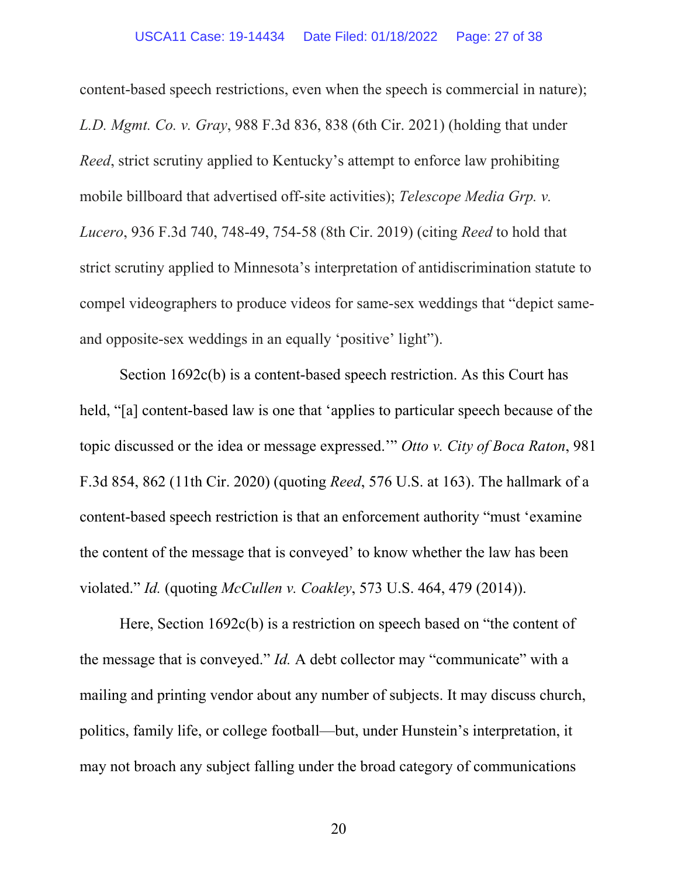content-based speech restrictions, even when the speech is commercial in nature); *L.D. Mgmt. Co. v. Gray*, 988 F.3d 836, 838 (6th Cir. 2021) (holding that under *Reed*, strict scrutiny applied to Kentucky's attempt to enforce law prohibiting mobile billboard that advertised off-site activities); *Telescope Media Grp. v. Lucero*, 936 F.3d 740, 748-49, 754-58 (8th Cir. 2019) (citing *Reed* to hold that strict scrutiny applied to Minnesota's interpretation of antidiscrimination statute to compel videographers to produce videos for same-sex weddings that "depict sameand opposite-sex weddings in an equally 'positive' light").

Section 1692c(b) is a content-based speech restriction. As this Court has held, "[a] content-based law is one that 'applies to particular speech because of the topic discussed or the idea or message expressed.'" *Otto v. City of Boca Raton*, 981 F.3d 854, 862 (11th Cir. 2020) (quoting *Reed*, 576 U.S. at 163). The hallmark of a content-based speech restriction is that an enforcement authority "must 'examine the content of the message that is conveyed' to know whether the law has been violated." *Id.* (quoting *McCullen v. Coakley*, 573 U.S. 464, 479 (2014)).

Here, Section 1692c(b) is a restriction on speech based on "the content of the message that is conveyed." *Id.* A debt collector may "communicate" with a mailing and printing vendor about any number of subjects. It may discuss church, politics, family life, or college football—but, under Hunstein's interpretation, it may not broach any subject falling under the broad category of communications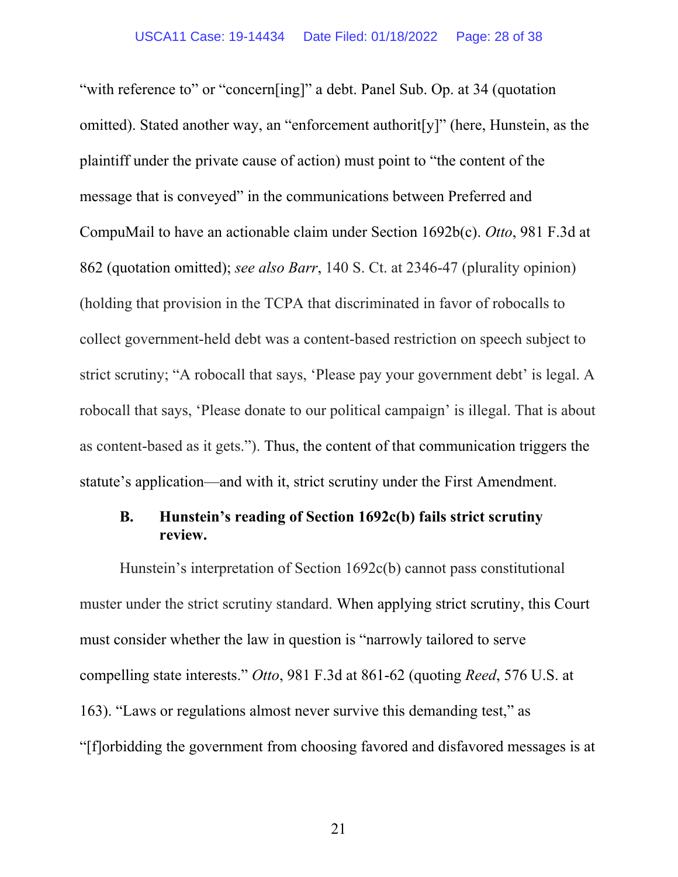"with reference to" or "concern[ing]" a debt. Panel Sub. Op. at 34 (quotation omitted). Stated another way, an "enforcement authorit[y]" (here, Hunstein, as the plaintiff under the private cause of action) must point to "the content of the message that is conveyed" in the communications between Preferred and CompuMail to have an actionable claim under Section 1692b(c). *Otto*, 981 F.3d at 862 (quotation omitted); *see also Barr*, 140 S. Ct. at 2346-47 (plurality opinion) (holding that provision in the TCPA that discriminated in favor of robocalls to collect government-held debt was a content-based restriction on speech subject to strict scrutiny; "A robocall that says, 'Please pay your government debt' is legal. A robocall that says, 'Please donate to our political campaign' is illegal. That is about as content-based as it gets."). Thus, the content of that communication triggers the statute's application—and with it, strict scrutiny under the First Amendment.

## **B. Hunstein's reading of Section 1692c(b) fails strict scrutiny review.**

Hunstein's interpretation of Section 1692c(b) cannot pass constitutional muster under the strict scrutiny standard. When applying strict scrutiny, this Court must consider whether the law in question is "narrowly tailored to serve compelling state interests." *Otto*, 981 F.3d at 861-62 (quoting *Reed*, 576 U.S. at 163). "Laws or regulations almost never survive this demanding test," as "[f]orbidding the government from choosing favored and disfavored messages is at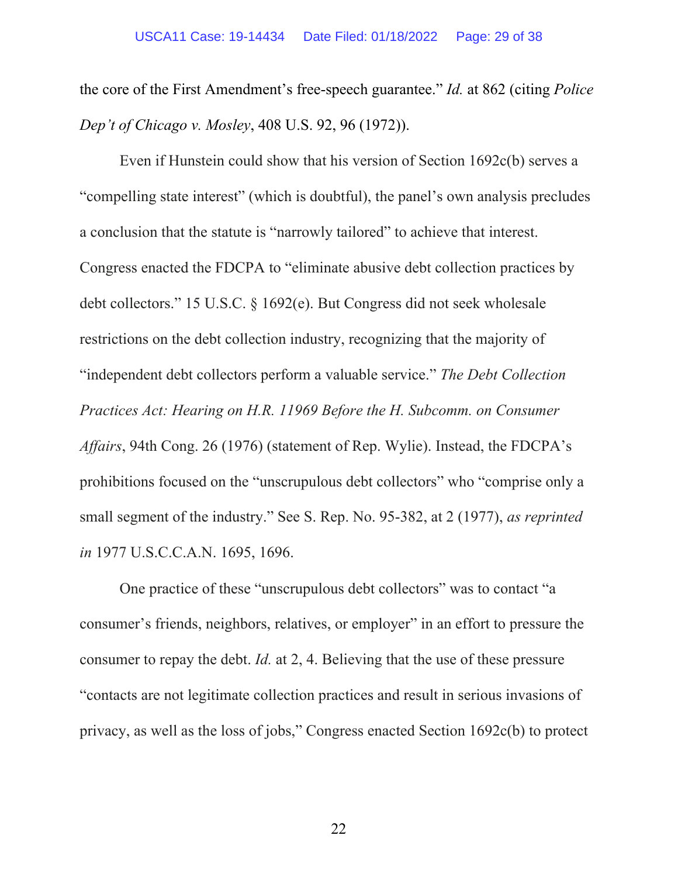the core of the First Amendment's free-speech guarantee." *Id.* at 862 (citing *Police Dep't of Chicago v. Mosley*, 408 U.S. 92, 96 (1972)).

Even if Hunstein could show that his version of Section 1692c(b) serves a "compelling state interest" (which is doubtful), the panel's own analysis precludes a conclusion that the statute is "narrowly tailored" to achieve that interest. Congress enacted the FDCPA to "eliminate abusive debt collection practices by debt collectors." 15 U.S.C. § 1692(e). But Congress did not seek wholesale restrictions on the debt collection industry, recognizing that the majority of "independent debt collectors perform a valuable service." *The Debt Collection Practices Act: Hearing on H.R. 11969 Before the H. Subcomm. on Consumer Affairs*, 94th Cong. 26 (1976) (statement of Rep. Wylie). Instead, the FDCPA's prohibitions focused on the "unscrupulous debt collectors" who "comprise only a small segment of the industry." See S. Rep. No. 95-382, at 2 (1977), *as reprinted in* 1977 U.S.C.C.A.N. 1695, 1696.

One practice of these "unscrupulous debt collectors" was to contact "a consumer's friends, neighbors, relatives, or employer" in an effort to pressure the consumer to repay the debt. *Id.* at 2, 4. Believing that the use of these pressure "contacts are not legitimate collection practices and result in serious invasions of privacy, as well as the loss of jobs," Congress enacted Section 1692c(b) to protect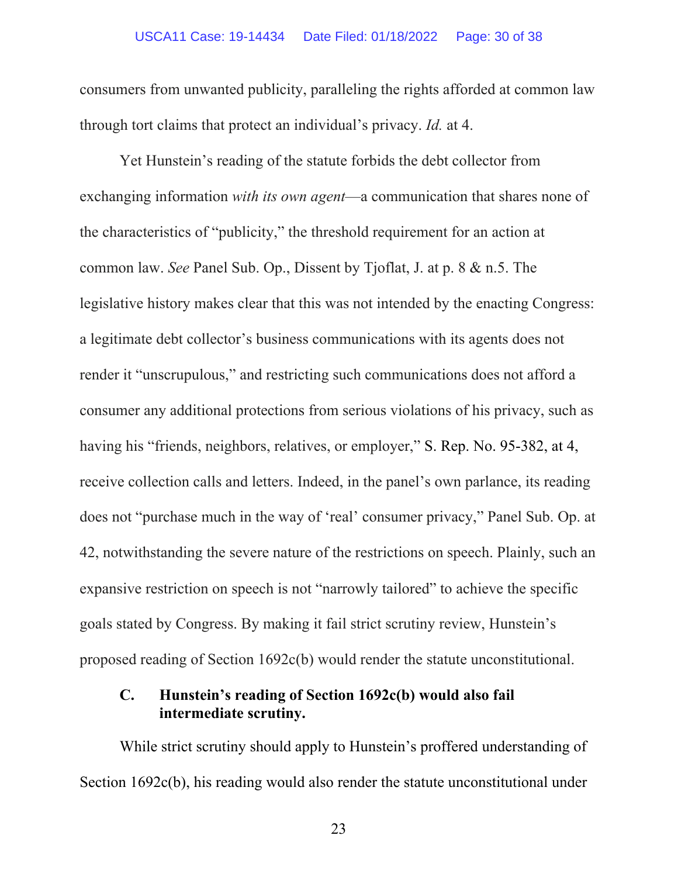#### USCA11 Case: 19-14434 Date Filed: 01/18/2022 Page: 30 of 38

consumers from unwanted publicity, paralleling the rights afforded at common law through tort claims that protect an individual's privacy. *Id.* at 4.

Yet Hunstein's reading of the statute forbids the debt collector from exchanging information *with its own agent*—a communication that shares none of the characteristics of "publicity," the threshold requirement for an action at common law. *See* Panel Sub. Op., Dissent by Tjoflat, J. at p. 8 & n.5. The legislative history makes clear that this was not intended by the enacting Congress: a legitimate debt collector's business communications with its agents does not render it "unscrupulous," and restricting such communications does not afford a consumer any additional protections from serious violations of his privacy, such as having his "friends, neighbors, relatives, or employer," S. Rep. No. 95-382, at 4, receive collection calls and letters. Indeed, in the panel's own parlance, its reading does not "purchase much in the way of 'real' consumer privacy," Panel Sub. Op. at 42, notwithstanding the severe nature of the restrictions on speech. Plainly, such an expansive restriction on speech is not "narrowly tailored" to achieve the specific goals stated by Congress. By making it fail strict scrutiny review, Hunstein's proposed reading of Section 1692c(b) would render the statute unconstitutional.

## **C. Hunstein's reading of Section 1692c(b) would also fail intermediate scrutiny.**

While strict scrutiny should apply to Hunstein's proffered understanding of Section 1692c(b), his reading would also render the statute unconstitutional under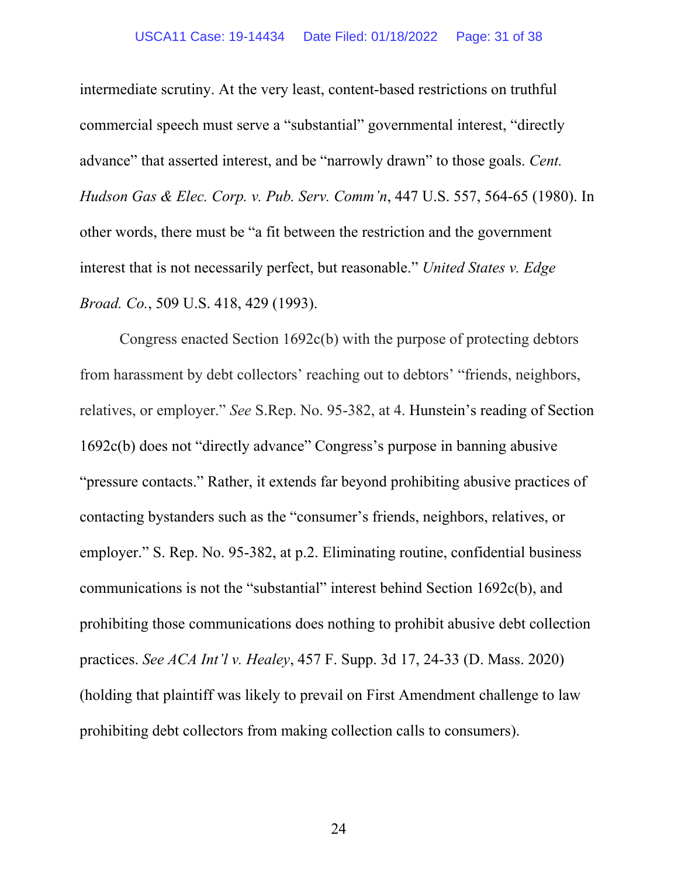#### USCA11 Case: 19-14434 Date Filed: 01/18/2022 Page: 31 of 38

intermediate scrutiny. At the very least, content-based restrictions on truthful commercial speech must serve a "substantial" governmental interest, "directly advance" that asserted interest, and be "narrowly drawn" to those goals. *Cent. Hudson Gas & Elec. Corp. v. Pub. Serv. Comm'n*, 447 U.S. 557, 564-65 (1980). In other words, there must be "a fit between the restriction and the government interest that is not necessarily perfect, but reasonable." *United States v. Edge Broad. Co.*, 509 U.S. 418, 429 (1993).

Congress enacted Section 1692c(b) with the purpose of protecting debtors from harassment by debt collectors' reaching out to debtors' "friends, neighbors, relatives, or employer." *See* S.Rep. No. 95-382, at 4. Hunstein's reading of Section 1692c(b) does not "directly advance" Congress's purpose in banning abusive "pressure contacts." Rather, it extends far beyond prohibiting abusive practices of contacting bystanders such as the "consumer's friends, neighbors, relatives, or employer." S. Rep. No. 95-382, at p.2. Eliminating routine, confidential business communications is not the "substantial" interest behind Section 1692c(b), and prohibiting those communications does nothing to prohibit abusive debt collection practices. *See ACA Int'l v. Healey*, 457 F. Supp. 3d 17, 24-33 (D. Mass. 2020) (holding that plaintiff was likely to prevail on First Amendment challenge to law prohibiting debt collectors from making collection calls to consumers).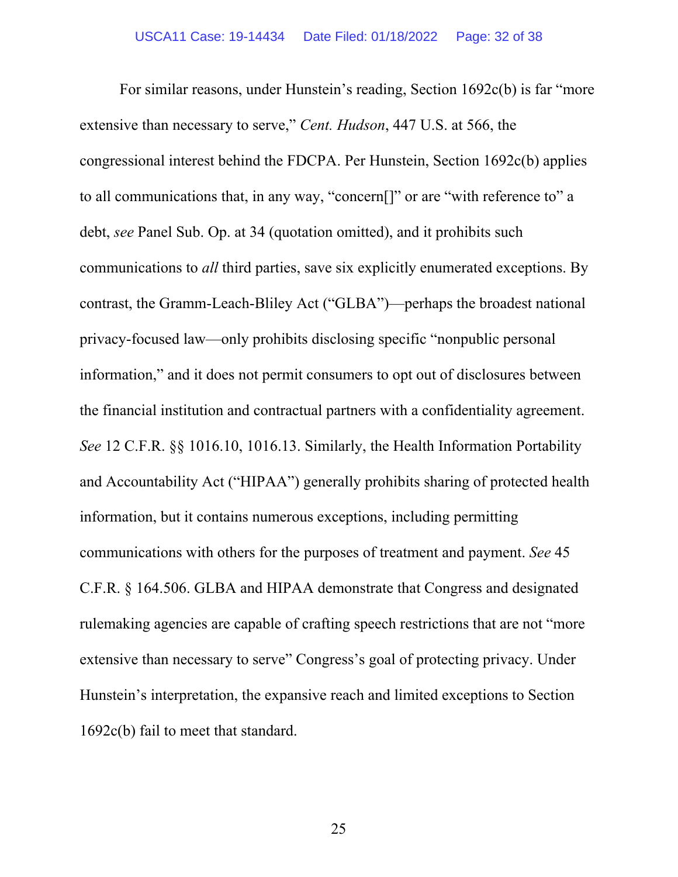For similar reasons, under Hunstein's reading, Section 1692c(b) is far "more extensive than necessary to serve," *Cent. Hudson*, 447 U.S. at 566, the congressional interest behind the FDCPA. Per Hunstein, Section 1692c(b) applies to all communications that, in any way, "concern[]" or are "with reference to" a debt, *see* Panel Sub. Op. at 34 (quotation omitted), and it prohibits such communications to *all* third parties, save six explicitly enumerated exceptions. By contrast, the Gramm-Leach-Bliley Act ("GLBA")—perhaps the broadest national privacy-focused law—only prohibits disclosing specific "nonpublic personal information," and it does not permit consumers to opt out of disclosures between the financial institution and contractual partners with a confidentiality agreement. *See* 12 C.F.R. §§ 1016.10, 1016.13. Similarly, the Health Information Portability and Accountability Act ("HIPAA") generally prohibits sharing of protected health information, but it contains numerous exceptions, including permitting communications with others for the purposes of treatment and payment. *See* 45 C.F.R. § 164.506. GLBA and HIPAA demonstrate that Congress and designated rulemaking agencies are capable of crafting speech restrictions that are not "more extensive than necessary to serve" Congress's goal of protecting privacy. Under Hunstein's interpretation, the expansive reach and limited exceptions to Section 1692c(b) fail to meet that standard.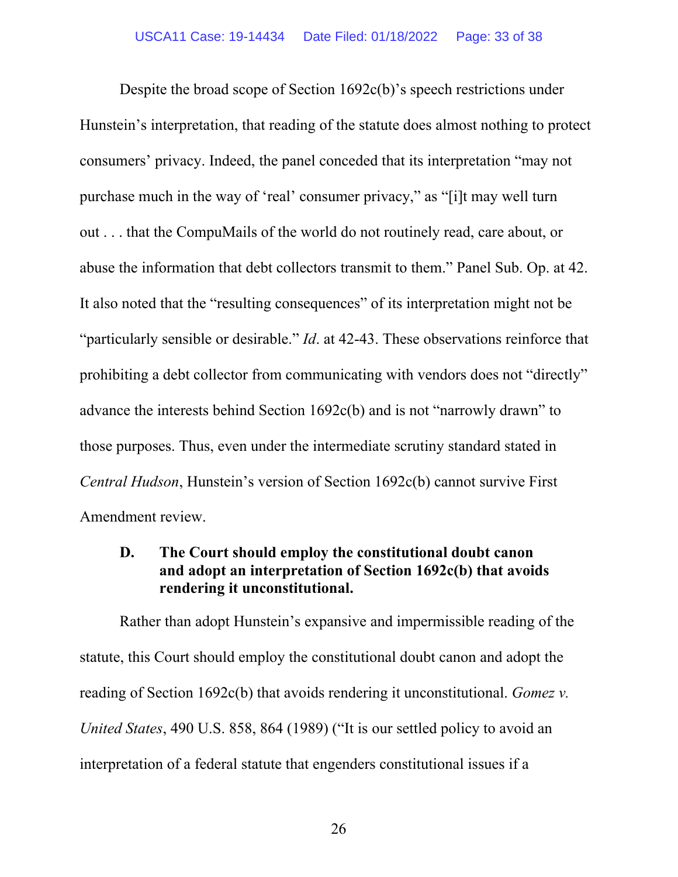Despite the broad scope of Section 1692c(b)'s speech restrictions under Hunstein's interpretation, that reading of the statute does almost nothing to protect consumers' privacy. Indeed, the panel conceded that its interpretation "may not purchase much in the way of 'real' consumer privacy," as "[i]t may well turn out . . . that the CompuMails of the world do not routinely read, care about, or abuse the information that debt collectors transmit to them." Panel Sub. Op. at 42. It also noted that the "resulting consequences" of its interpretation might not be "particularly sensible or desirable." *Id*. at 42-43. These observations reinforce that prohibiting a debt collector from communicating with vendors does not "directly" advance the interests behind Section 1692c(b) and is not "narrowly drawn" to those purposes. Thus, even under the intermediate scrutiny standard stated in *Central Hudson*, Hunstein's version of Section 1692c(b) cannot survive First Amendment review.

## **D. The Court should employ the constitutional doubt canon and adopt an interpretation of Section 1692c(b) that avoids rendering it unconstitutional.**

Rather than adopt Hunstein's expansive and impermissible reading of the statute, this Court should employ the constitutional doubt canon and adopt the reading of Section 1692c(b) that avoids rendering it unconstitutional. *Gomez v. United States*, 490 U.S. 858, 864 (1989) ("It is our settled policy to avoid an interpretation of a federal statute that engenders constitutional issues if a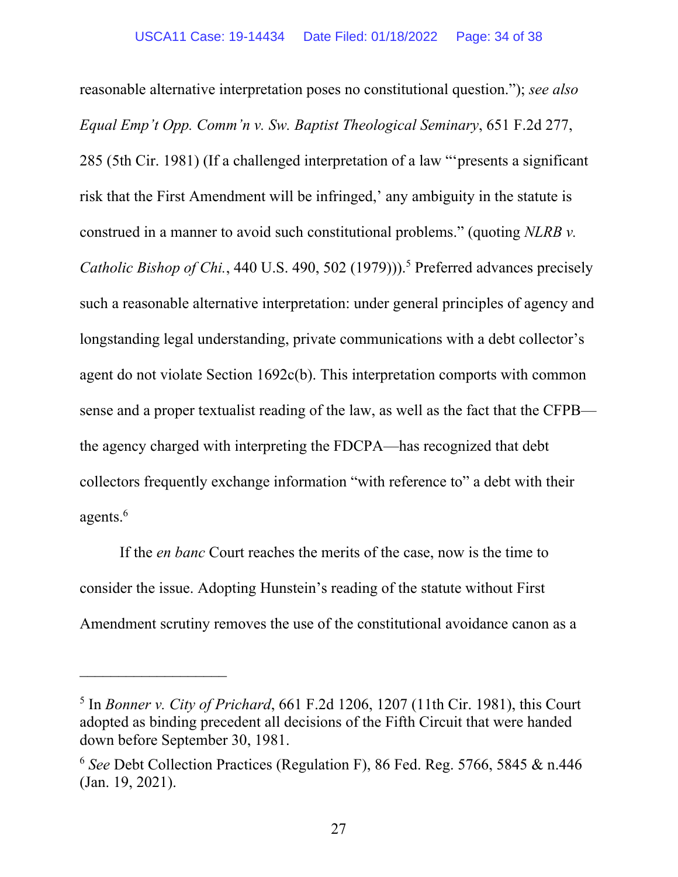reasonable alternative interpretation poses no constitutional question."); *see also Equal Emp't Opp. Comm'n v. Sw. Baptist Theological Seminary*, 651 F.2d 277, 285 (5th Cir. 1981) (If a challenged interpretation of a law "'presents a significant risk that the First Amendment will be infringed,' any ambiguity in the statute is construed in a manner to avoid such constitutional problems." (quoting *NLRB v.*  Catholic Bishop of Chi., 440 U.S. 490, 502 (1979)).<sup>5</sup> Preferred advances precisely such a reasonable alternative interpretation: under general principles of agency and longstanding legal understanding, private communications with a debt collector's agent do not violate Section 1692c(b). This interpretation comports with common sense and a proper textualist reading of the law, as well as the fact that the CFPB the agency charged with interpreting the FDCPA—has recognized that debt collectors frequently exchange information "with reference to" a debt with their agents. $^6$ 

If the *en banc* Court reaches the merits of the case, now is the time to consider the issue. Adopting Hunstein's reading of the statute without First Amendment scrutiny removes the use of the constitutional avoidance canon as a

 $\mathcal{L}_\text{max}$ 

<sup>5</sup> In *Bonner v. City of Prichard*, 661 F.2d 1206, 1207 (11th Cir. 1981), this Court adopted as binding precedent all decisions of the Fifth Circuit that were handed down before September 30, 1981.

<sup>6</sup> *See* Debt Collection Practices (Regulation F), 86 Fed. Reg. 5766, 5845 & n.446 (Jan. 19, 2021).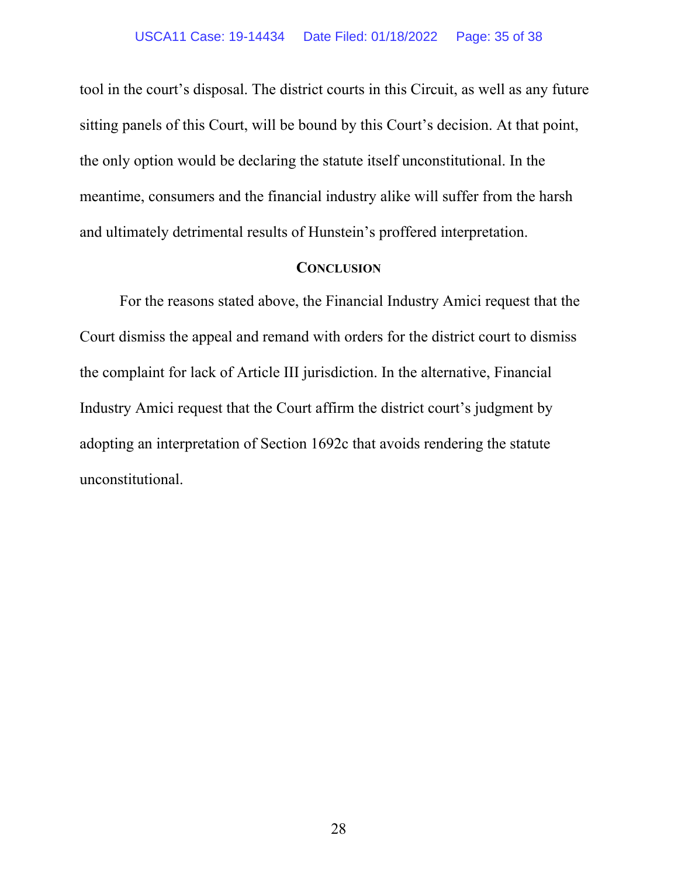tool in the court's disposal. The district courts in this Circuit, as well as any future sitting panels of this Court, will be bound by this Court's decision. At that point, the only option would be declaring the statute itself unconstitutional. In the meantime, consumers and the financial industry alike will suffer from the harsh and ultimately detrimental results of Hunstein's proffered interpretation.

#### **CONCLUSION**

For the reasons stated above, the Financial Industry Amici request that the Court dismiss the appeal and remand with orders for the district court to dismiss the complaint for lack of Article III jurisdiction. In the alternative, Financial Industry Amici request that the Court affirm the district court's judgment by adopting an interpretation of Section 1692c that avoids rendering the statute unconstitutional.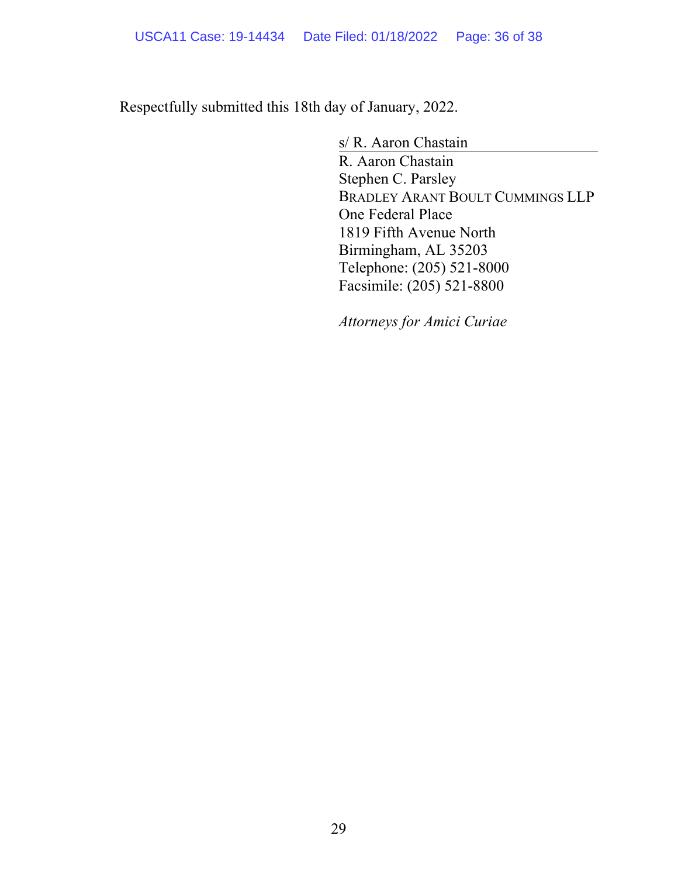Respectfully submitted this 18th day of January, 2022.

s/ R. Aaron Chastain

R. Aaron Chastain Stephen C. Parsley BRADLEY ARANT BOULT CUMMINGS LLP One Federal Place 1819 Fifth Avenue North Birmingham, AL 35203 Telephone: (205) 521-8000 Facsimile: (205) 521-8800

*Attorneys for Amici Curiae*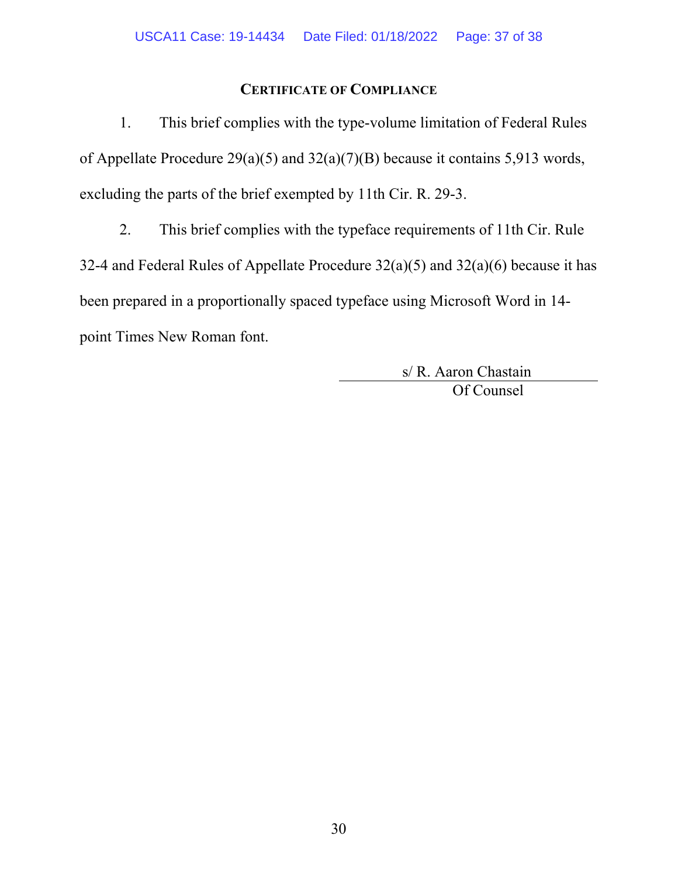## **CERTIFICATE OF COMPLIANCE**

1. This brief complies with the type-volume limitation of Federal Rules of Appellate Procedure 29(a)(5) and 32(a)(7)(B) because it contains 5,913 words, excluding the parts of the brief exempted by 11th Cir. R. 29-3.

2. This brief complies with the typeface requirements of 11th Cir. Rule 32-4 and Federal Rules of Appellate Procedure  $32(a)(5)$  and  $32(a)(6)$  because it has been prepared in a proportionally spaced typeface using Microsoft Word in 14 point Times New Roman font.

> s/ R. Aaron Chastain Of Counsel